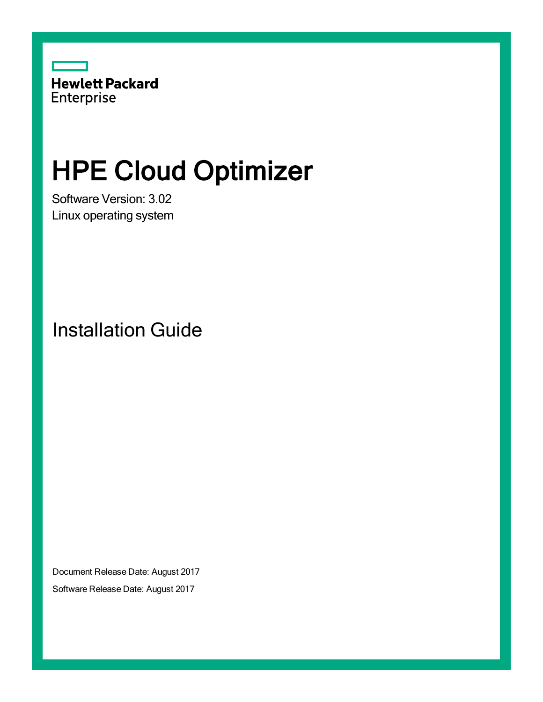

# HPE Cloud Optimizer

Software Version: 3.02 Linux operating system

Installation Guide

Document Release Date: August 2017

Software Release Date: August 2017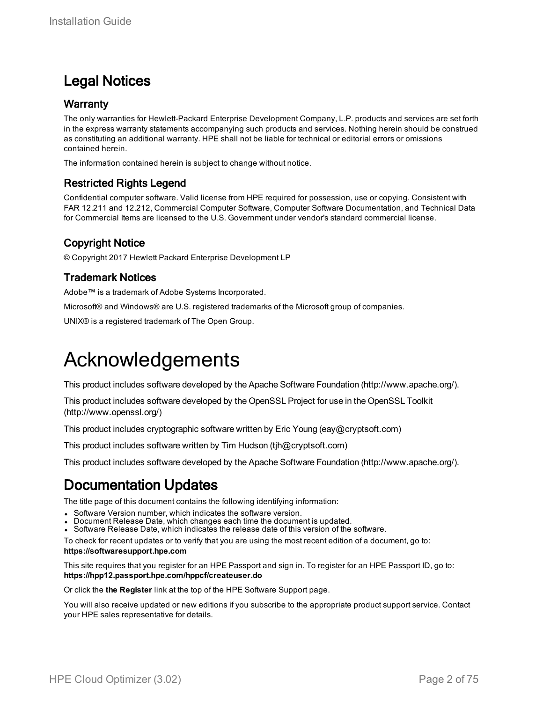### Legal Notices

#### **Warranty**

The only warranties for Hewlett-Packard Enterprise Development Company, L.P. products and services are set forth in the express warranty statements accompanying such products and services. Nothing herein should be construed as constituting an additional warranty. HPE shall not be liable for technical or editorial errors or omissions contained herein.

The information contained herein is subject to change without notice.

### Restricted Rights Legend

Confidential computer software. Valid license from HPE required for possession, use or copying. Consistent with FAR 12.211 and 12.212, Commercial Computer Software, Computer Software Documentation, and Technical Data for Commercial Items are licensed to the U.S. Government under vendor's standard commercial license.

### Copyright Notice

© Copyright 2017 Hewlett Packard Enterprise Development LP

#### Trademark Notices

Adobe™ is a trademark of Adobe Systems Incorporated.

Microsoft® and Windows® are U.S. registered trademarks of the Microsoft group of companies.

UNIX® is a registered trademark of The Open Group.

### Acknowledgements

This product includes software developed by the Apache Software Foundation (http://www.apache.org/).

This product includes software developed by the OpenSSL Project for use in the OpenSSL Toolkit (http://www.openssl.org/)

This product includes cryptographic software written by Eric Young (eay@cryptsoft.com)

This product includes software written by Tim Hudson (tjh@cryptsoft.com)

This product includes software developed by the Apache Software Foundation (http://www.apache.org/).

### Documentation Updates

The title page of this document contains the following identifying information:

- Software Version number, which indicates the software version.
- Document Release Date, which changes each time the document is updated.
- Software Release Date, which indicates the release date of this version of the software.

To check for recent updates or to verify that you are using the most recent edition of a document, go to: **https://softwaresupport.hpe.com**

This site requires that you register for an HPE Passport and sign in. To register for an HPE Passport ID, go to: **https://hpp12.passport.hpe.com/hppcf/createuser.do**

Or click the **the Register** link at the top of the HPE Software Support page.

You will also receive updated or new editions if you subscribe to the appropriate product support service. Contact your HPE sales representative for details.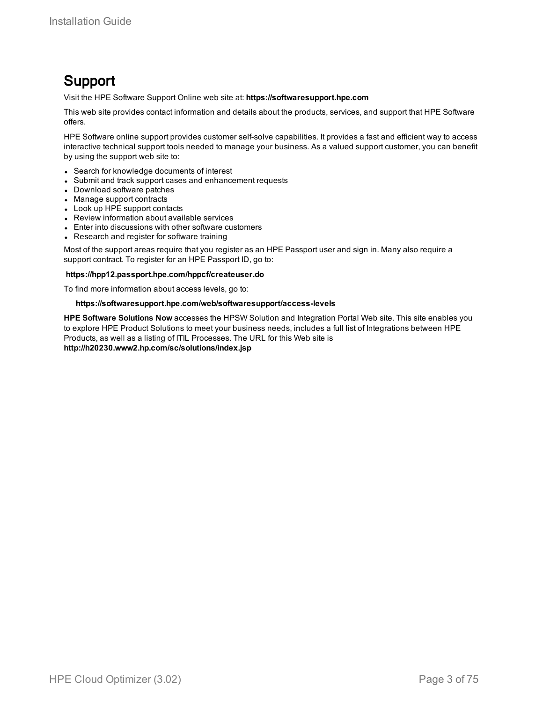### Support

Visit the HPE Software Support Online web site at: **https://softwaresupport.hpe.com**

This web site provides contact information and details about the products, services, and support that HPE Software offers.

HPE Software online support provides customer self-solve capabilities. It provides a fast and efficient way to access interactive technical support tools needed to manage your business. As a valued support customer, you can benefit by using the support web site to:

- Search for knowledge documents of interest
- Submit and track support cases and enhancement requests
- Download software patches
- Manage support contracts
- Look up HPE support contacts
- Review information about available services
- Enter into discussions with other software customers
- Research and register for software training

Most of the support areas require that you register as an HPE Passport user and sign in. Many also require a support contract. To register for an HPE Passport ID, go to:

#### **https://hpp12.passport.hpe.com/hppcf/createuser.do**

To find more information about access levels, go to:

#### **https://softwaresupport.hpe.com/web/softwaresupport/access-levels**

**HPE Software Solutions Now** accesses the HPSW Solution and Integration Portal Web site. This site enables you to explore HPE Product Solutions to meet your business needs, includes a full list of Integrations between HPE Products, as well as a listing of ITIL Processes. The URL for this Web site is **http://h20230.www2.hp.com/sc/solutions/index.jsp**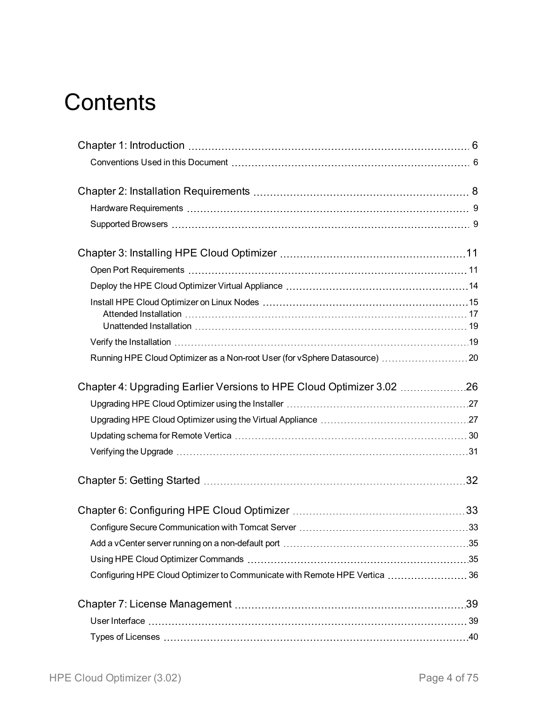# **Contents**

| Running HPE Cloud Optimizer as a Non-root User (for vSphere Datasource)  20 |  |
|-----------------------------------------------------------------------------|--|
| Chapter 4: Upgrading Earlier Versions to HPE Cloud Optimizer 3.02 26        |  |
|                                                                             |  |
|                                                                             |  |
|                                                                             |  |
|                                                                             |  |
|                                                                             |  |
|                                                                             |  |
|                                                                             |  |
|                                                                             |  |
|                                                                             |  |
| Configuring HPE Cloud Optimizer to Communicate with Remote HPE Vertica  36  |  |
|                                                                             |  |
|                                                                             |  |
|                                                                             |  |
|                                                                             |  |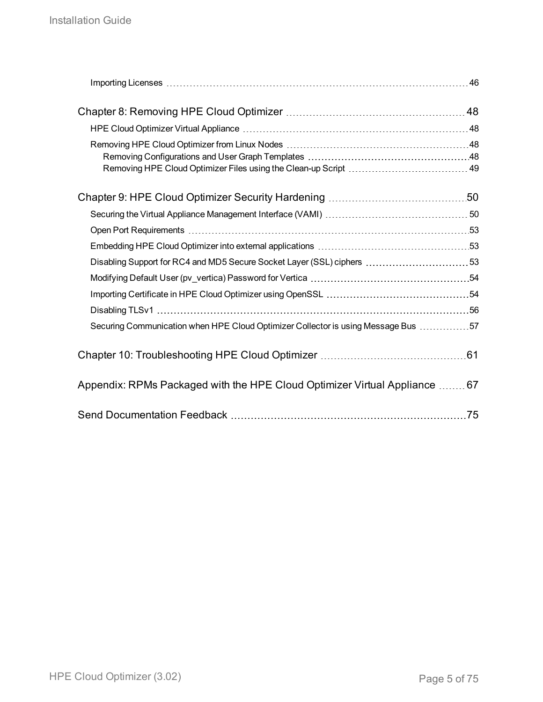| Disabling Support for RC4 and MD5 Secure Socket Layer (SSL) ciphers  53           |  |
|-----------------------------------------------------------------------------------|--|
|                                                                                   |  |
|                                                                                   |  |
|                                                                                   |  |
| Securing Communication when HPE Cloud Optimizer Collector is using Message Bus 57 |  |
|                                                                                   |  |
| Appendix: RPMs Packaged with the HPE Cloud Optimizer Virtual Appliance  67        |  |
|                                                                                   |  |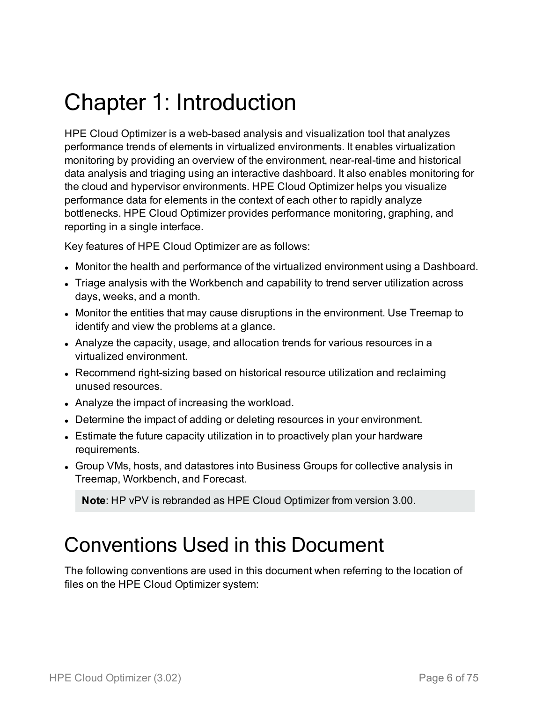# <span id="page-5-0"></span>Chapter 1: Introduction

HPE Cloud Optimizer is a web-based analysis and visualization tool that analyzes performance trends of elements in virtualized environments. It enables virtualization monitoring by providing an overview of the environment, near-real-time and historical data analysis and triaging using an interactive dashboard. It also enables monitoring for the cloud and hypervisor environments. HPE Cloud Optimizer helps you visualize performance data for elements in the context of each other to rapidly analyze bottlenecks. HPE Cloud Optimizer provides performance monitoring, graphing, and reporting in a single interface.

Key features of HPE Cloud Optimizer are as follows:

- Monitor the health and performance of the virtualized environment using a Dashboard.
- Triage analysis with the Workbench and capability to trend server utilization across days, weeks, and a month.
- Monitor the entities that may cause disruptions in the environment. Use Treemap to identify and view the problems at a glance.
- Analyze the capacity, usage, and allocation trends for various resources in a virtualized environment.
- Recommend right-sizing based on historical resource utilization and reclaiming unused resources.
- Analyze the impact of increasing the workload.
- Determine the impact of adding or deleting resources in your environment.
- Estimate the future capacity utilization in to proactively plan your hardware requirements.
- Group VMs, hosts, and datastores into Business Groups for collective analysis in Treemap, Workbench, and Forecast.

<span id="page-5-1"></span>**Note**: HP vPV is rebranded as HPE Cloud Optimizer from version 3.00.

### Conventions Used in this Document

The following conventions are used in this document when referring to the location of files on the HPE Cloud Optimizer system: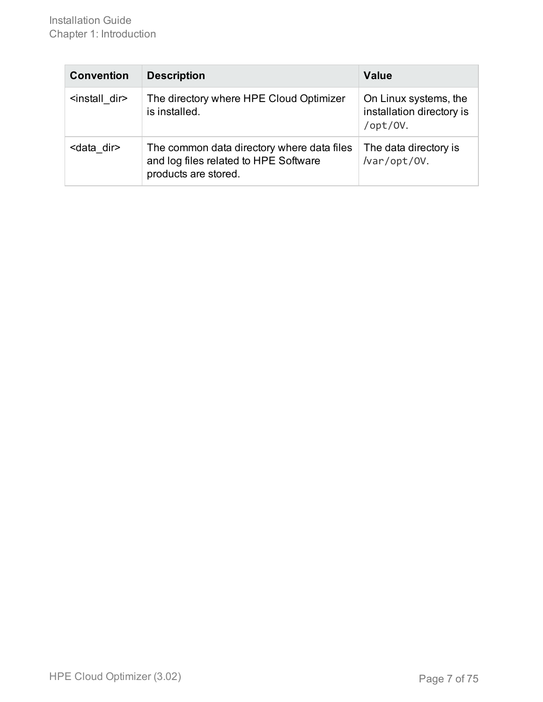| <b>Convention</b>          | <b>Description</b>                                                                                          | <b>Value</b>                                                   |
|----------------------------|-------------------------------------------------------------------------------------------------------------|----------------------------------------------------------------|
| <install dir=""></install> | The directory where HPE Cloud Optimizer<br>is installed.                                                    | On Linux systems, the<br>installation directory is<br>/opt/0V. |
| <data dir=""></data>       | The common data directory where data files<br>and log files related to HPE Software<br>products are stored. | The data directory is<br>/var/opt/0V.                          |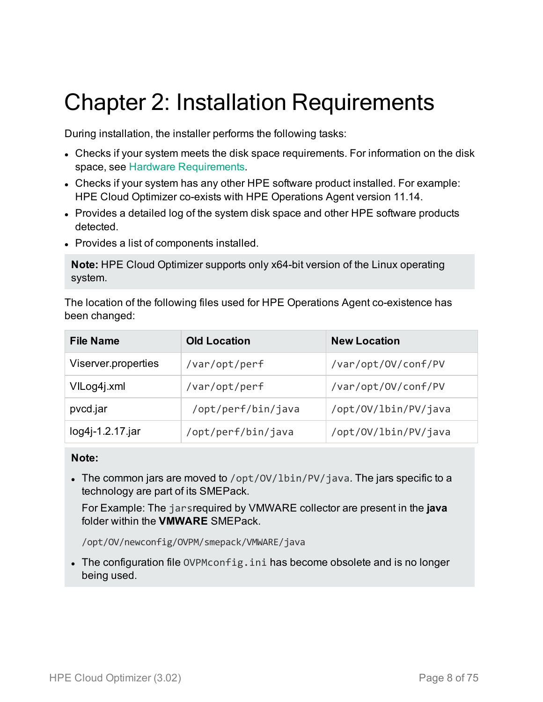# <span id="page-7-0"></span>Chapter 2: Installation Requirements

During installation, the installer performs the following tasks:

- Checks if your system meets the disk space requirements. For information on the disk space, see Hardware [Requirements](#page-8-0).
- Checks if your system has any other HPE software product installed. For example: HPE Cloud Optimizer co-exists with HPE Operations Agent version 11.14.
- Provides a detailed log of the system disk space and other HPE software products detected.
- Provides a list of components installed.

**Note:** HPE Cloud Optimizer supports only x64-bit version of the Linux operating system.

The location of the following files used for HPE Operations Agent co-existence has been changed:

| <b>File Name</b>    | <b>Old Location</b> | <b>New Location</b>  |
|---------------------|---------------------|----------------------|
| Viserver.properties | /var/opt/perf       | /var/opt/0V/conf/PV  |
| VILog4j.xml         | /var/opt/perf       | /var/opt/0V/conf/PV  |
| pvcd.jar            | /opt/perf/bin/java  | /opt/0V/lbin/PV/java |
| log4j-1.2.17.jar    | /opt/perf/bin/java  | /opt/0V/lbin/PV/java |

#### **Note:**

• The common jars are moved to /opt/0V/lbin/PV/java. The jars specific to a technology are part of its SMEPack.

For Example: The jarsrequired by VMWARE collector are present in the **java** folder within the **VMWARE** SMEPack.

/opt/OV/newconfig/OVPM/smepack/VMWARE/java

• The configuration file OVPMconfig.ini has become obsolete and is no longer being used.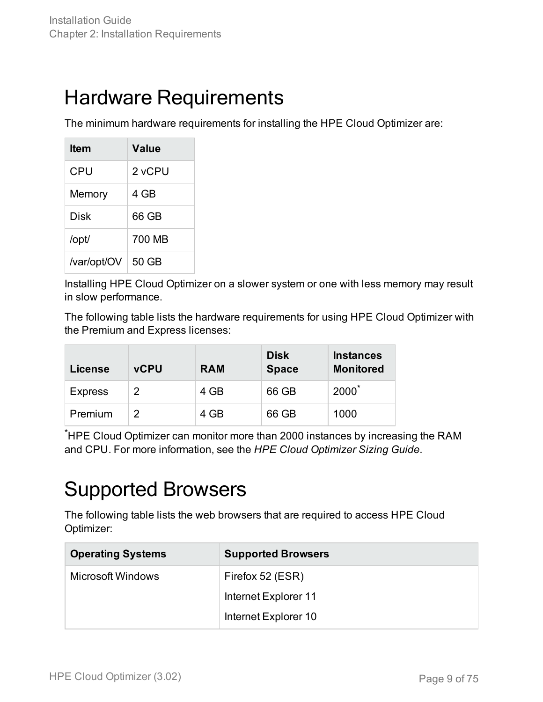### <span id="page-8-0"></span>Hardware Requirements

The minimum hardware requirements for installing the HPE Cloud Optimizer are:

| ltem        | Value  |
|-------------|--------|
| CPU         | 2 vCPU |
| Memory      | 4 GB   |
| Disk        | 66 GB  |
| /opt/       | 700 MB |
| /var/opt/OV | 50 GB  |

Installing HPE Cloud Optimizer on a slower system or one with less memory may result in slow performance.

The following table lists the hardware requirements for using HPE Cloud Optimizer with the Premium and Express licenses:

| License        | <b>vCPU</b> | <b>RAM</b> | <b>Disk</b><br><b>Space</b> | <b>Instances</b><br><b>Monitored</b> |
|----------------|-------------|------------|-----------------------------|--------------------------------------|
| <b>Express</b> | 2           | 4 GB       | 66 GB                       | $2000^*$                             |
| Premium        | 2           | 4 GB       | 66 GB                       | 1000                                 |

<span id="page-8-1"></span>\*HPE Cloud Optimizer can monitor more than 2000 instances by increasing the RAM and CPU. For more information, see the *HPE Cloud Optimizer Sizing Guide*.

### Supported Browsers

The following table lists the web browsers that are required to access HPE Cloud Optimizer:

| <b>Operating Systems</b> | <b>Supported Browsers</b> |
|--------------------------|---------------------------|
| Microsoft Windows        | Firefox 52 (ESR)          |
|                          | Internet Explorer 11      |
|                          | Internet Explorer 10      |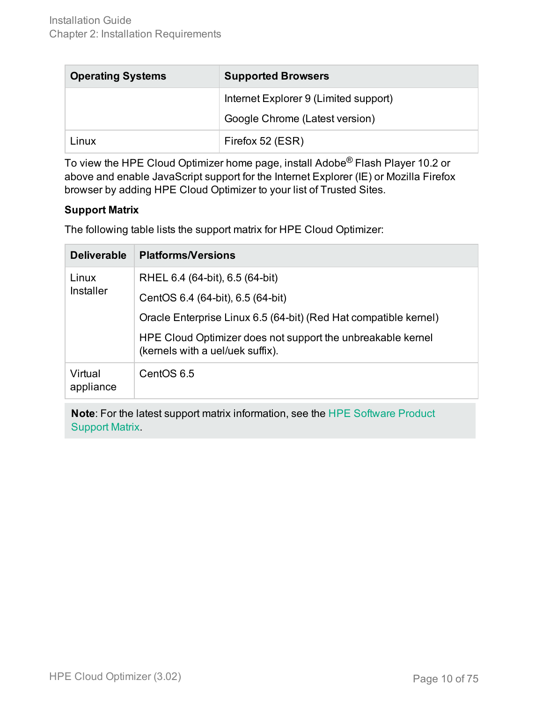| <b>Operating Systems</b> | <b>Supported Browsers</b>             |  |
|--------------------------|---------------------------------------|--|
|                          | Internet Explorer 9 (Limited support) |  |
|                          | Google Chrome (Latest version)        |  |
| Linux                    | Firefox 52 (ESR)                      |  |

To view the HPE Cloud Optimizer home page, install Adobe® Flash Player 10.2 or above and enable JavaScript support for the Internet Explorer (IE) or Mozilla Firefox browser by adding HPE Cloud Optimizer to your list of Trusted Sites.

### **Support Matrix**

The following table lists the support matrix for HPE Cloud Optimizer:

| <b>Deliverable</b>   | <b>Platforms/Versions</b>                                                                       |
|----------------------|-------------------------------------------------------------------------------------------------|
| Linux                | RHEL 6.4 (64-bit), 6.5 (64-bit)                                                                 |
| Installer            | CentOS 6.4 (64-bit), 6.5 (64-bit)                                                               |
|                      | Oracle Enterprise Linux 6.5 (64-bit) (Red Hat compatible kernel)                                |
|                      | HPE Cloud Optimizer does not support the unbreakable kernel<br>(kernels with a uel/uek suffix). |
| Virtual<br>appliance | CentOS 6.5                                                                                      |

**Note**: For the latest support matrix information, see the HPE [Software](https://softwaresupport.hp.com/group/softwaresupport/search-result/-/facetsearch/document/KM323488) Product [Support](https://softwaresupport.hp.com/group/softwaresupport/search-result/-/facetsearch/document/KM323488) Matrix.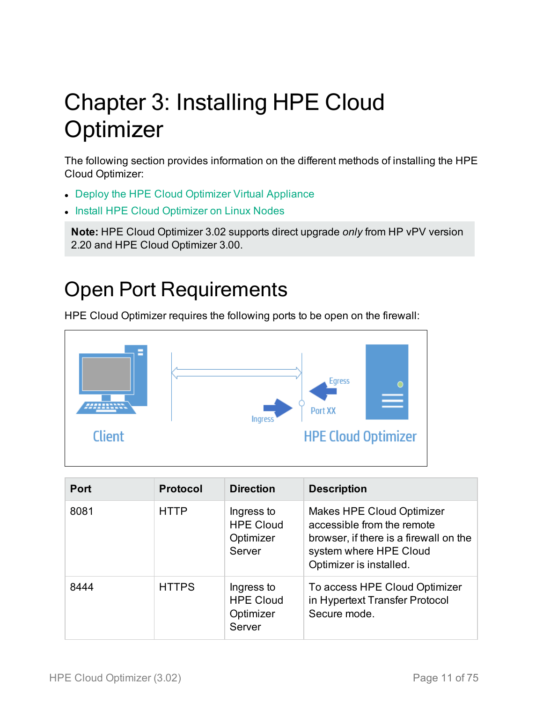# <span id="page-10-0"></span>Chapter 3: Installing HPE Cloud **Optimizer**

The following section provides information on the different methods of installing the HPE Cloud Optimizer:

- Deploy the HPE Cloud [Optimizer Virtual](#page-13-0) Appliance
- Install HPE Cloud [Optimizer](#page-14-0) on Linux Nodes

**Note:** HPE Cloud Optimizer 3.02 supports direct upgrade *only* from HP vPV version 2.20 and HPE Cloud Optimizer 3.00.

## <span id="page-10-1"></span>Open Port Requirements

HPE Cloud Optimizer requires the following ports to be open on the firewall:



| <b>Port</b> | <b>Protocol</b> | <b>Direction</b>                                      | <b>Description</b>                                                                                                                                            |
|-------------|-----------------|-------------------------------------------------------|---------------------------------------------------------------------------------------------------------------------------------------------------------------|
| 8081        | <b>HTTP</b>     | Ingress to<br><b>HPE Cloud</b><br>Optimizer<br>Server | <b>Makes HPE Cloud Optimizer</b><br>accessible from the remote<br>browser, if there is a firewall on the<br>system where HPE Cloud<br>Optimizer is installed. |
| 8444        | <b>HTTPS</b>    | Ingress to<br><b>HPE Cloud</b><br>Optimizer<br>Server | To access HPE Cloud Optimizer<br>in Hypertext Transfer Protocol<br>Secure mode.                                                                               |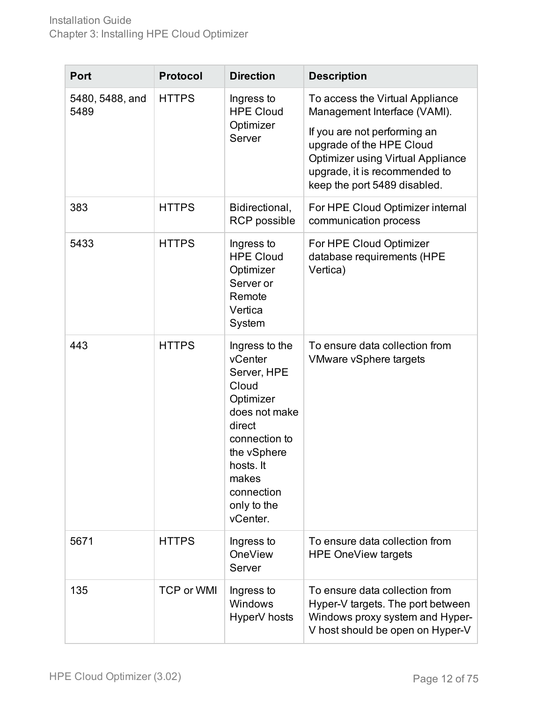| <b>Port</b>             | <b>Protocol</b>   | <b>Direction</b>                                                                                                                                                                         | <b>Description</b>                                                                                                                                                                                                                       |
|-------------------------|-------------------|------------------------------------------------------------------------------------------------------------------------------------------------------------------------------------------|------------------------------------------------------------------------------------------------------------------------------------------------------------------------------------------------------------------------------------------|
| 5480, 5488, and<br>5489 | <b>HTTPS</b>      | Ingress to<br><b>HPE Cloud</b><br>Optimizer<br>Server                                                                                                                                    | To access the Virtual Appliance<br>Management Interface (VAMI).<br>If you are not performing an<br>upgrade of the HPE Cloud<br><b>Optimizer using Virtual Appliance</b><br>upgrade, it is recommended to<br>keep the port 5489 disabled. |
| 383                     | <b>HTTPS</b>      | Bidirectional,<br><b>RCP</b> possible                                                                                                                                                    | For HPE Cloud Optimizer internal<br>communication process                                                                                                                                                                                |
| 5433                    | <b>HTTPS</b>      | Ingress to<br><b>HPE Cloud</b><br>Optimizer<br>Server or<br>Remote<br>Vertica<br>System                                                                                                  | For HPE Cloud Optimizer<br>database requirements (HPE<br>Vertica)                                                                                                                                                                        |
| 443                     | <b>HTTPS</b>      | Ingress to the<br>vCenter<br>Server, HPE<br>Cloud<br>Optimizer<br>does not make<br>direct<br>connection to<br>the vSphere<br>hosts. It<br>makes<br>connection<br>only to the<br>vCenter. | To ensure data collection from<br><b>VMware vSphere targets</b>                                                                                                                                                                          |
| 5671                    | <b>HTTPS</b>      | Ingress to<br><b>OneView</b><br>Server                                                                                                                                                   | To ensure data collection from<br><b>HPE OneView targets</b>                                                                                                                                                                             |
| 135                     | <b>TCP or WMI</b> | Ingress to<br>Windows<br>HyperV hosts                                                                                                                                                    | To ensure data collection from<br>Hyper-V targets. The port between<br>Windows proxy system and Hyper-<br>V host should be open on Hyper-V                                                                                               |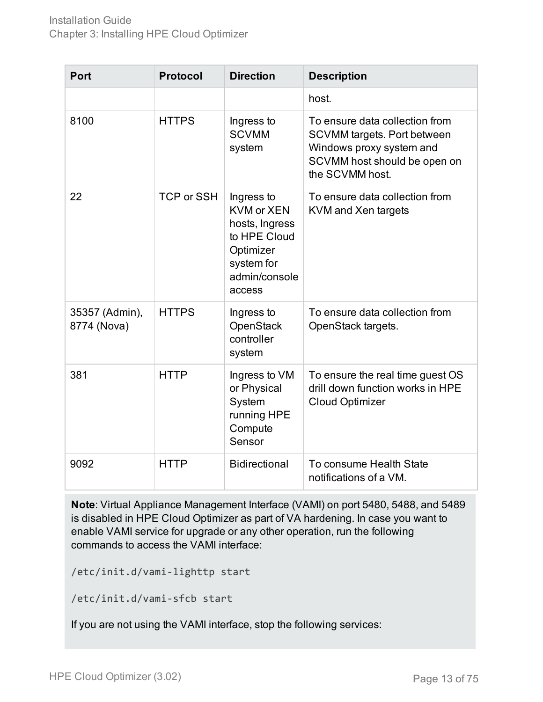| <b>Port</b>                   | <b>Protocol</b>   | <b>Direction</b>                                                                                                        | <b>Description</b>                                                                                                                                  |
|-------------------------------|-------------------|-------------------------------------------------------------------------------------------------------------------------|-----------------------------------------------------------------------------------------------------------------------------------------------------|
|                               |                   |                                                                                                                         | host.                                                                                                                                               |
| 8100                          | <b>HTTPS</b>      | Ingress to<br><b>SCVMM</b><br>system                                                                                    | To ensure data collection from<br><b>SCVMM targets. Port between</b><br>Windows proxy system and<br>SCVMM host should be open on<br>the SCVMM host. |
| 22                            | <b>TCP or SSH</b> | Ingress to<br><b>KVM or XEN</b><br>hosts, Ingress<br>to HPE Cloud<br>Optimizer<br>system for<br>admin/console<br>access | To ensure data collection from<br>KVM and Xen targets                                                                                               |
| 35357 (Admin),<br>8774 (Nova) | <b>HTTPS</b>      | Ingress to<br><b>OpenStack</b><br>controller<br>system                                                                  | To ensure data collection from<br>OpenStack targets.                                                                                                |
| 381                           | <b>HTTP</b>       | Ingress to VM<br>or Physical<br>System<br>running HPE<br>Compute<br>Sensor                                              | To ensure the real time guest OS<br>drill down function works in HPE<br><b>Cloud Optimizer</b>                                                      |
| 9092                          | <b>HTTP</b>       | <b>Bidirectional</b>                                                                                                    | To consume Health State<br>notifications of a VM.                                                                                                   |

**Note**: Virtual Appliance Management Interface (VAMI) on port 5480, 5488, and 5489 is disabled in HPE Cloud Optimizer as part of VA hardening. In case you want to enable VAMI service for upgrade or any other operation, run the following commands to access the VAMI interface:

/etc/init.d/vami-lighttp start

/etc/init.d/vami-sfcb start

If you are not using the VAMI interface, stop the following services: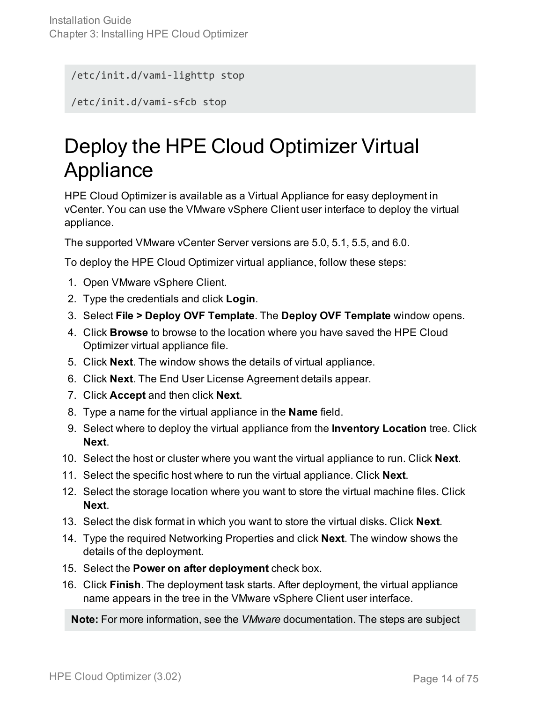/etc/init.d/vami-lighttp stop

<span id="page-13-0"></span>/etc/init.d/vami-sfcb stop

## Deploy the HPE Cloud Optimizer Virtual Appliance

HPE Cloud Optimizer is available as a Virtual Appliance for easy deployment in vCenter. You can use the VMware vSphere Client user interface to deploy the virtual appliance.

The supported VMware vCenter Server versions are 5.0, 5.1, 5.5, and 6.0.

To deploy the HPE Cloud Optimizer virtual appliance, follow these steps:

- 1. Open VMware vSphere Client.
- 2. Type the credentials and click **Login**.
- 3. Select **File > Deploy OVF Template**. The **Deploy OVF Template** window opens.
- 4. Click **Browse** to browse to the location where you have saved the HPE Cloud Optimizer virtual appliance file.
- 5. Click **Next**. The window shows the details of virtual appliance.
- 6. Click **Next**. The End User License Agreement details appear.
- 7. Click **Accept** and then click **Next**.
- 8. Type a name for the virtual appliance in the **Name** field.
- 9. Select where to deploy the virtual appliance from the **Inventory Location** tree. Click **Next**.
- 10. Select the host or cluster where you want the virtual appliance to run. Click **Next**.
- 11. Select the specific host where to run the virtual appliance. Click **Next**.
- 12. Select the storage location where you want to store the virtual machine files. Click **Next**.
- 13. Select the disk format in which you want to store the virtual disks. Click **Next**.
- 14. Type the required Networking Properties and click **Next**. The window shows the details of the deployment.
- 15. Select the **Power on after deployment** check box.
- 16. Click **Finish**. The deployment task starts. After deployment, the virtual appliance name appears in the tree in the VMware vSphere Client user interface.

**Note:** For more information, see the *VMware* documentation. The steps are subject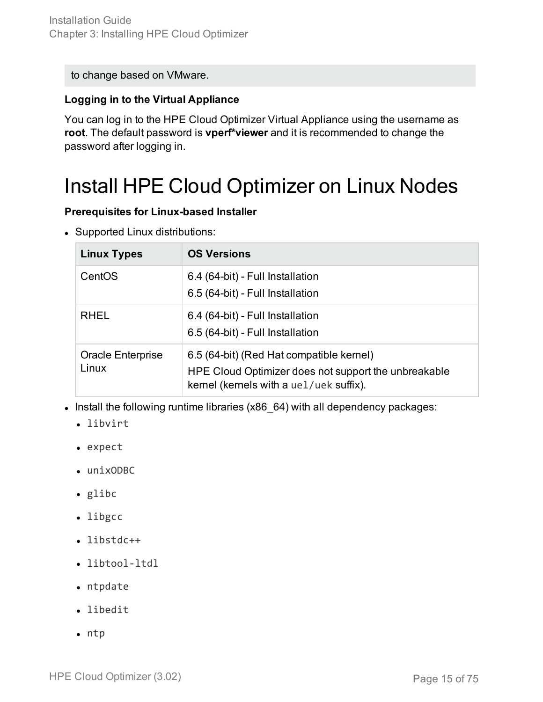to change based on VMware.

#### **Logging in to the Virtual Appliance**

You can log in to the HPE Cloud Optimizer Virtual Appliance using the username as **root**. The default password is **vperf\*viewer** and it is recommended to change the password after logging in.

### <span id="page-14-0"></span>Install HPE Cloud Optimizer on Linux Nodes

#### **Prerequisites for Linux-based Installer**

• Supported Linux distributions:

| <b>Linux Types</b>         | <b>OS Versions</b>                                                                                                                          |
|----------------------------|---------------------------------------------------------------------------------------------------------------------------------------------|
| CentOS                     | 6.4 (64-bit) - Full Installation<br>6.5 (64-bit) - Full Installation                                                                        |
| <b>RHEL</b>                | 6.4 (64-bit) - Full Installation<br>6.5 (64-bit) - Full Installation                                                                        |
| Oracle Enterprise<br>Linux | 6.5 (64-bit) (Red Hat compatible kernel)<br>HPE Cloud Optimizer does not support the unbreakable<br>kernel (kernels with a uel/uek suffix). |

- Install the following runtime libraries (x86\_64) with all dependency packages:
	- libvirt
	- expect
	- $\cdot$  unixODBC
	- $\bullet$  glibc
	- libgcc
	- libstdc++
	- libtool-ltdl
	- $\bullet$  ntpdate
	- libedit
	- $\cdot$  ntp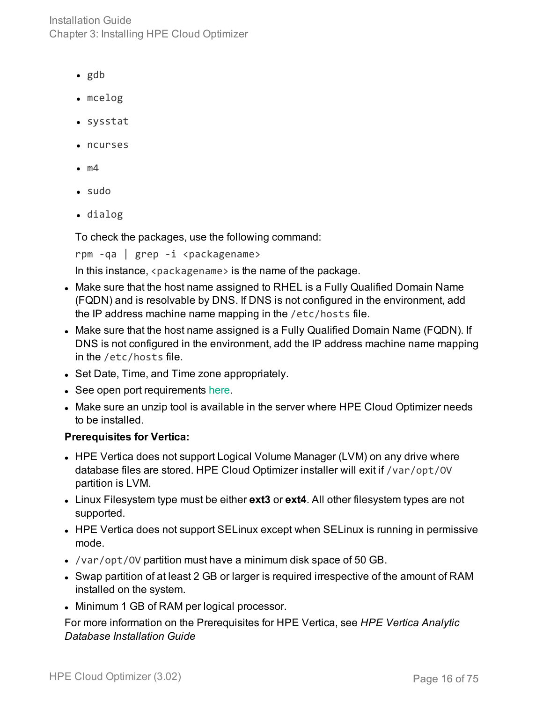Installation Guide Chapter 3: Installing HPE Cloud Optimizer

- $\bullet$  gdb
- mcelog
- sysstat
- ncurses
- $\bullet$  m4
- $\bullet$  sudo
- dialog

To check the packages, use the following command:

rpm -qa | grep -i <packagename>

In this instance,  $\langle$  packagename  $\rangle$  is the name of the package.

- Make sure that the host name assigned to RHEL is a Fully Qualified Domain Name (FQDN) and is resolvable by DNS. If DNS is not configured in the environment, add the IP address machine name mapping in the /etc/hosts file.
- Make sure that the host name assigned is a Fully Qualified Domain Name (FQDN). If DNS is not configured in the environment, add the IP address machine name mapping in the /etc/hosts file.
- Set Date, Time, and Time zone appropriately.
- See open port requirements [here.](#page-10-1)
- Make sure an unzip tool is available in the server where HPE Cloud Optimizer needs to be installed.

#### **Prerequisites for Vertica:**

- HPE Vertica does not support Logical Volume Manager (LVM) on any drive where database files are stored. HPE Cloud Optimizer installer will exit if /var/opt/OV partition is LVM.
- Linux Filesystem type must be either **ext3** or **ext4**. All other filesystem types are not supported.
- HPE Vertica does not support SELinux except when SELinux is running in permissive mode.
- /var/opt/0V partition must have a minimum disk space of 50 GB.
- Swap partition of at least 2 GB or larger is required irrespective of the amount of RAM installed on the system.
- Minimum 1 GB of RAM per logical processor.

For more information on the Prerequisites for HPE Vertica, see *HPE Vertica Analytic Database Installation Guide*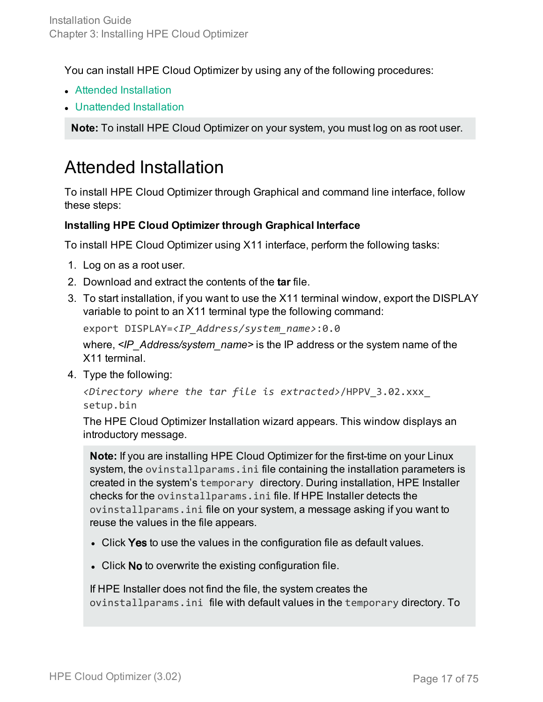You can install HPE Cloud Optimizer by using any of the following procedures:

- Attended [Installation](#page-16-0)
- [Unattended](#page-18-0) Installation

<span id="page-16-0"></span>**Note:** To install HPE Cloud Optimizer on your system, you must log on as root user.

### Attended Installation

To install HPE Cloud Optimizer through Graphical and command line interface, follow these steps:

### **Installing HPE Cloud Optimizer through Graphical Interface**

To install HPE Cloud Optimizer using X11 interface, perform the following tasks:

- 1. Log on as a root user.
- 2. Download and extract the contents of the **tar** file.
- 3. To start installation, if you want to use the X11 terminal window, export the DISPLAY variable to point to an X11 terminal type the following command:

export DISPLAY=*<IP\_Address/system\_name>*:0.0

where, <*IP* Address/system name> is the IP address or the system name of the X11 terminal.

4. Type the following:

```
<Directory where the tar file is extracted>/HPPV_3.02.xxx_
setup.bin
```
The HPE Cloud Optimizer Installation wizard appears. This window displays an introductory message.

**Note:** If you are installing HPE Cloud Optimizer for the first-time on your Linux system, the ovinstallparams.ini file containing the installation parameters is created in the system's temporary directory. During installation, HPE Installer checks for the ovinstallparams.ini file. If HPE Installer detects the ovinstallparams.ini file on your system, a message asking if you want to reuse the values in the file appears.

- Click Yes to use the values in the configuration file as default values.
- Click No to overwrite the existing configuration file.

If HPE Installer does not find the file, the system creates the ovinstallparams.ini file with default values in the temporary directory. To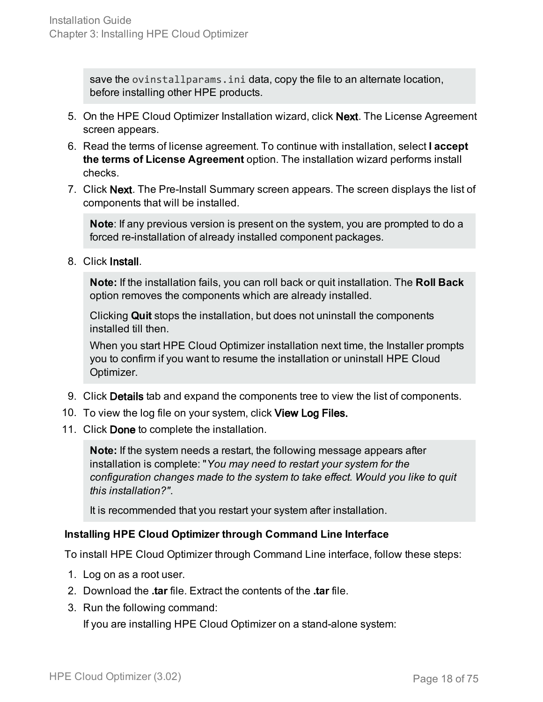save the ovinstallparams.ini data, copy the file to an alternate location, before installing other HPE products.

- 5. On the HPE Cloud Optimizer Installation wizard, click Next. The License Agreement screen appears.
- 6. Read the terms of license agreement. To continue with installation, select **I accept the terms of License Agreement** option. The installation wizard performs install checks.
- 7. Click Next. The Pre-Install Summary screen appears. The screen displays the list of components that will be installed.

**Note**: If any previous version is present on the system, you are prompted to do a forced re-installation of already installed component packages.

8. Click Install.

**Note:** If the installation fails, you can roll back or quit installation. The **Roll Back** option removes the components which are already installed.

Clicking **Quit** stops the installation, but does not uninstall the components installed till then.

When you start HPE Cloud Optimizer installation next time, the Installer prompts you to confirm if you want to resume the installation or uninstall HPE Cloud Optimizer.

- 9. Click Details tab and expand the components tree to view the list of components.
- 10. To view the log file on your system, click View Log Files.
- 11. Click Done to complete the installation.

**Note:** If the system needs a restart, the following message appears after installation is complete: "*You may need to restart your system for the configuration changes made to the system to take effect. Would you like to quit this installation?"*.

It is recommended that you restart your system after installation.

### **Installing HPE Cloud Optimizer through Command Line Interface**

To install HPE Cloud Optimizer through Command Line interface, follow these steps:

- 1. Log on as a root user.
- 2. Download the **.tar** file. Extract the contents of the **.tar** file.
- 3. Run the following command:

If you are installing HPE Cloud Optimizer on a stand-alone system: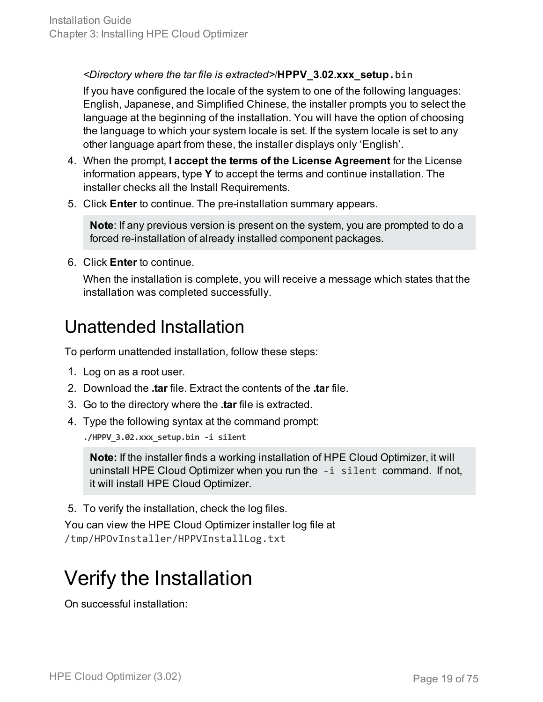### *<Directory where the tar file is extracted>*/**HPPV\_3.02.xxx\_setup.bin**

If you have configured the locale of the system to one of the following languages: English, Japanese, and Simplified Chinese, the installer prompts you to select the language at the beginning of the installation. You will have the option of choosing the language to which your system locale is set. If the system locale is set to any other language apart from these, the installer displays only 'English'.

- 4. When the prompt, **I accept the terms of the License Agreement** for the License information appears, type **Y** to accept the terms and continue installation. The installer checks all the Install Requirements.
- 5. Click **Enter** to continue. The pre-installation summary appears.

**Note**: If any previous version is present on the system, you are prompted to do a forced re-installation of already installed component packages.

6. Click **Enter** to continue.

When the installation is complete, you will receive a message which states that the installation was completed successfully.

### <span id="page-18-0"></span>Unattended Installation

To perform unattended installation, follow these steps:

- 1. Log on as a root user.
- 2. Download the **.tar** file. Extract the contents of the **.tar** file.
- 3. Go to the directory where the **.tar** file is extracted.
- 4. Type the following syntax at the command prompt:

**./HPPV\_3.02.xxx\_setup.bin -i silent**

**Note:** If the installer finds a working installation of HPE Cloud Optimizer, it will uninstall HPE Cloud Optimizer when you run the -i silent command. If not, it will install HPE Cloud Optimizer.

5. To verify the installation, check the log files.

You can view the HPE Cloud Optimizer installer log file at /tmp/HPOvInstaller/HPPVInstallLog.txt

### <span id="page-18-1"></span>Verify the Installation

On successful installation: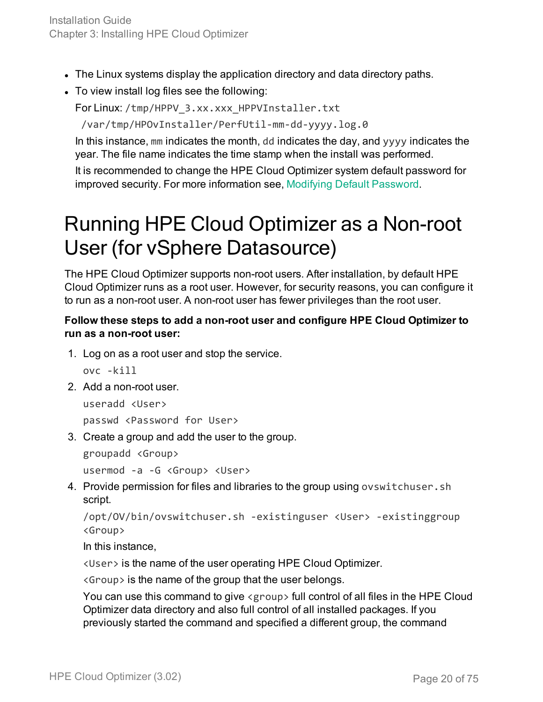- The Linux systems display the application directory and data directory paths.
- To view install log files see the following:

For Linux: /tmp/HPPV\_3.xx.xxx\_HPPVInstaller.txt

/var/tmp/HPOvInstaller/PerfUtil-mm-dd-yyyy.log.0

In this instance, mm indicates the month, dd indicates the day, and yyyy indicates the year. The file name indicates the time stamp when the install was performed.

It is recommended to change the HPE Cloud Optimizer system default password for improved security. For more information see, Modifying Default [Password](#page-53-0).

### <span id="page-19-0"></span>Running HPE Cloud Optimizer as a Non-root User (for vSphere Datasource)

The HPE Cloud Optimizer supports non-root users. After installation, by default HPE Cloud Optimizer runs as a root user. However, for security reasons, you can configure it to run as a non-root user. A non-root user has fewer privileges than the root user.

### **Follow these steps to add a non-root user and configure HPE Cloud Optimizer to run as a non-root user:**

1. Log on as a root user and stop the service.

ovc -kill

2. Add a non-root user.

useradd <User> passwd <Password for User>

3. Create a group and add the user to the group.

groupadd <Group>

usermod -a -G <Group> <User>

4. Provide permission for files and libraries to the group using ovswitchuser.sh script.

```
/opt/OV/bin/ovswitchuser.sh -existinguser <User> -existinggroup
<Group>
```
In this instance,

<User> is the name of the user operating HPE Cloud Optimizer.

<Group> is the name of the group that the user belongs.

You can use this command to give <group> full control of all files in the HPE Cloud Optimizer data directory and also full control of all installed packages. If you previously started the command and specified a different group, the command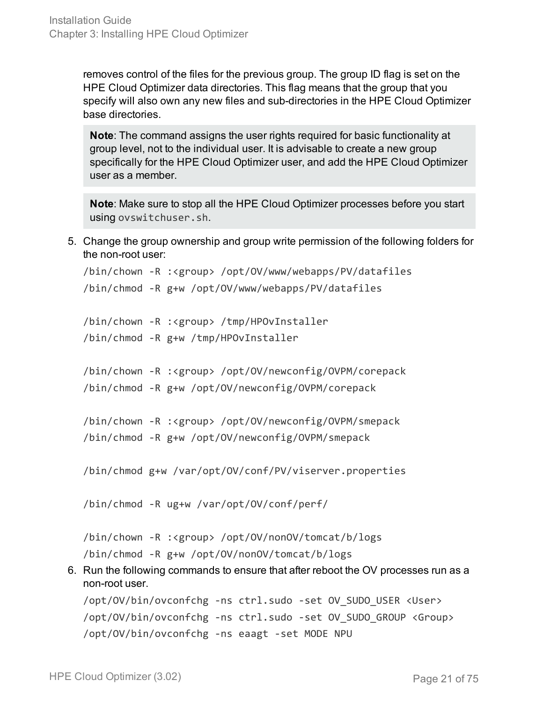removes control of the files for the previous group. The group ID flag is set on the HPE Cloud Optimizer data directories. This flag means that the group that you specify will also own any new files and sub-directories in the HPE Cloud Optimizer base directories.

**Note**: The command assigns the user rights required for basic functionality at group level, not to the individual user. It is advisable to create a new group specifically for the HPE Cloud Optimizer user, and add the HPE Cloud Optimizer user as a member.

**Note**: Make sure to stop all the HPE Cloud Optimizer processes before you start using ovswitchuser.sh.

5. Change the group ownership and group write permission of the following folders for the non-root user:

```
/bin/chown -R :<group> /opt/OV/www/webapps/PV/datafiles
/bin/chmod -R g+w /opt/OV/www/webapps/PV/datafiles
```
/bin/chown -R :<group> /tmp/HPOvInstaller /bin/chmod -R g+w /tmp/HPOvInstaller

```
/bin/chown -R :<group> /opt/OV/newconfig/OVPM/corepack
```

```
/bin/chmod -R g+w /opt/OV/newconfig/OVPM/corepack
```

```
/bin/chown -R :<group> /opt/OV/newconfig/OVPM/smepack
```

```
/bin/chmod -R g+w /opt/OV/newconfig/OVPM/smepack
```
/bin/chmod g+w /var/opt/OV/conf/PV/viserver.properties

/bin/chmod -R ug+w /var/opt/OV/conf/perf/

/bin/chown -R :<group> /opt/OV/nonOV/tomcat/b/logs

/bin/chmod -R g+w /opt/OV/nonOV/tomcat/b/logs

6. Run the following commands to ensure that after reboot the OV processes run as a non-root user.

```
/opt/OV/bin/ovconfchg -ns ctrl.sudo -set OV_SUDO_USER <User>
/opt/OV/bin/ovconfchg -ns ctrl.sudo -set OV_SUDO_GROUP <Group>
/opt/OV/bin/ovconfchg -ns eaagt -set MODE NPU
```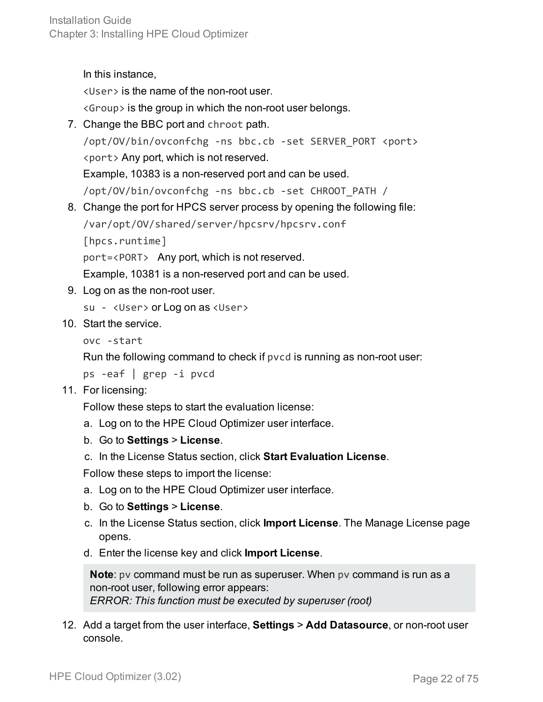In this instance,

<User> is the name of the non-root user.

<Group> is the group in which the non-root user belongs.

- 7. Change the BBC port and chroot path. /opt/OV/bin/ovconfchg -ns bbc.cb -set SERVER\_PORT <port> <port> Any port, which is not reserved. Example, 10383 is a non-reserved port and can be used. /opt/OV/bin/ovconfchg -ns bbc.cb -set CHROOT\_PATH /
- 8. Change the port for HPCS server process by opening the following file: /var/opt/OV/shared/server/hpcsrv/hpcsrv.conf

[hpcs.runtime]

port=<PORT> Any port, which is not reserved.

Example, 10381 is a non-reserved port and can be used.

9. Log on as the non-root user.

su - <User> or Log on as <User>

10. Start the service.

```
ovc -start
```
Run the following command to check if pvcd is running as non-root user:

```
ps -eaf | grep -i pvcd
```
11. For licensing:

Follow these steps to start the evaluation license:

- a. Log on to the HPE Cloud Optimizer user interface.
- b. Go to **Settings** > **License**.
- c. In the License Status section, click **Start Evaluation License**.

Follow these steps to import the license:

- a. Log on to the HPE Cloud Optimizer user interface.
- b. Go to **Settings** > **License**.
- c. In the License Status section, click **Import License**. The Manage License page opens.
- d. Enter the license key and click **Import License**.

**Note**: pv command must be run as superuser. When pv command is run as a non-root user, following error appears: *ERROR: This function must be executed by superuser (root)*

12. Add a target from the user interface, **Settings** > **Add Datasource**, or non-root user console.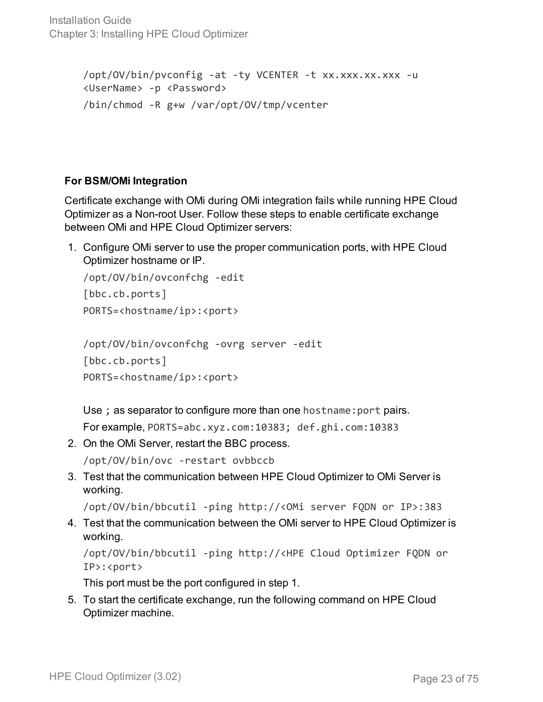Installation Guide Chapter 3: Installing HPE Cloud Optimizer

```
/opt/OV/bin/pvconfig -at -ty VCENTER -t xx.xxx.xx.xxx -u
<UserName> -p <Password>
/bin/chmod -R g+w /var/opt/OV/tmp/vcenter
```
### **For BSM/OMi Integration**

Certificate exchange with OMi during OMi integration fails while running HPE Cloud Optimizer as a Non-root User. Follow these steps to enable certificate exchange between OMi and HPE Cloud Optimizer servers:

1. Configure OMi server to use the proper communication ports, with HPE Cloud Optimizer hostname or IP.

```
/opt/OV/bin/ovconfchg -edit
[bbc.cb.ports]
PORTS=<hostname/ip>:<port>
```

```
/opt/OV/bin/ovconfchg -ovrg server -edit
[bbc.cb.ports]
PORTS=<hostname/ip>:<port>
```
Use ; as separator to configure more than one hostname:port pairs.

```
For example, PORTS=abc.xyz.com:10383; def.ghi.com:10383
```
2. On the OMi Server, restart the BBC process.

/opt/OV/bin/ovc -restart ovbbccb

3. Test that the communication between HPE Cloud Optimizer to OMi Server is working.

/opt/OV/bin/bbcutil -ping http://<OMi server FQDN or IP>:383

4. Test that the communication between the OMi server to HPE Cloud Optimizer is working.

```
/opt/OV/bin/bbcutil -ping http://<HPE Cloud Optimizer FQDN or
IP>:<port>
```
This port must be the port configured in step 1.

5. To start the certificate exchange, run the following command on HPE Cloud Optimizer machine.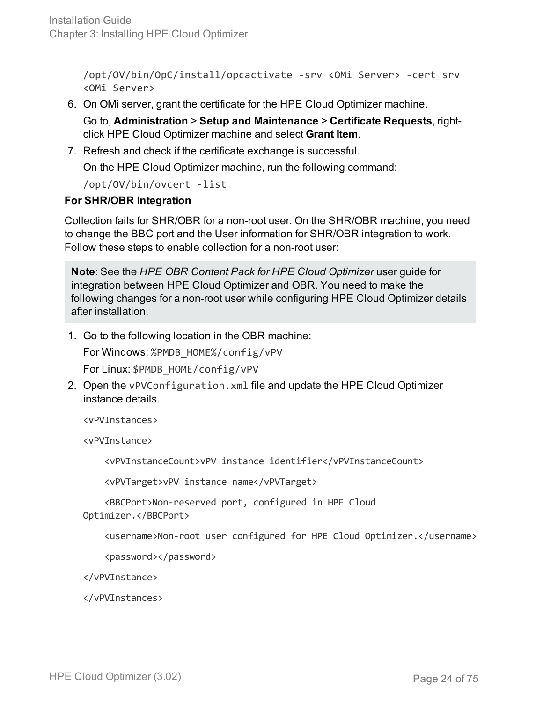/opt/OV/bin/OpC/install/opcactivate -srv <OMi Server> -cert\_srv <OMi Server>

6. On OMi server, grant the certificate for the HPE Cloud Optimizer machine.

Go to, **Administration** > **Setup and Maintenance** > **Certificate Requests**, rightclick HPE Cloud Optimizer machine and select **Grant Item**.

7. Refresh and check if the certificate exchange is successful.

On the HPE Cloud Optimizer machine, run the following command:

/opt/OV/bin/ovcert -list

#### **For SHR/OBR Integration**

Collection fails for SHR/OBR for a non-root user. On the SHR/OBR machine, you need to change the BBC port and the User information for SHR/OBR integration to work. Follow these steps to enable collection for a non-root user:

**Note**: See the *HPE OBR Content Pack for HPE Cloud Optimizer* user guide for integration between HPE Cloud Optimizer and OBR. You need to make the following changes for a non-root user while configuring HPE Cloud Optimizer details after installation.

1. Go to the following location in the OBR machine:

For Windows: %PMDB\_HOME%/config/vPV

For Linux: \$PMDB\_HOME/config/vPV

2. Open the vPVConfiguration.xml file and update the HPE Cloud Optimizer instance details.

<vPVInstances>

<vPVInstance>

<vPVInstanceCount>vPV instance identifier</vPVInstanceCount>

<vPVTarget>vPV instance name</vPVTarget>

 <BBCPort>Non-reserved port, configured in HPE Cloud Optimizer.</BBCPort>

<username>Non-root user configured for HPE Cloud Optimizer.</username>

<password></password>

</vPVInstance>

</vPVInstances>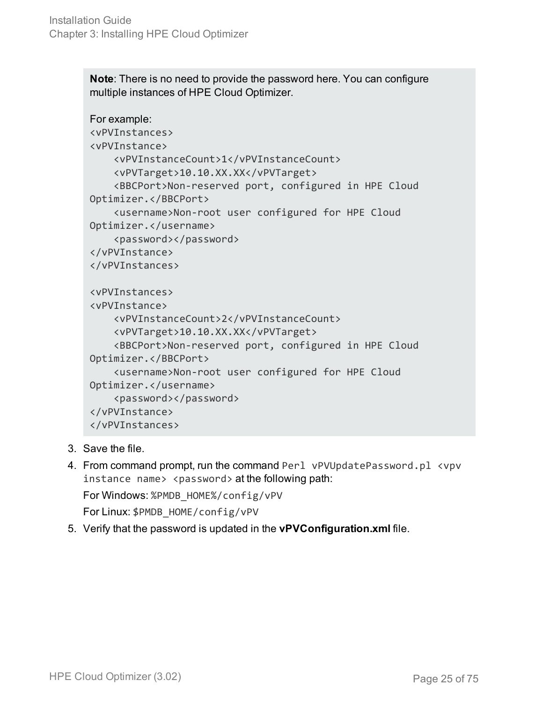**Note**: There is no need to provide the password here. You can configure multiple instances of HPE Cloud Optimizer.

```
For example:
<vPVInstances>
<vPVInstance>
        <vPVInstanceCount>1</vPVInstanceCount>
        <vPVTarget>10.10.XX.XX</vPVTarget>
        <BBCPort>Non-reserved port, configured in HPE Cloud
Optimizer.</BBCPort>
        <username>Non-root user configured for HPE Cloud
Optimizer.</username>
        <password></password>
</vPVInstance>
</vPVInstances>
<vPVInstances>
<vPVInstance>
        <vPVInstanceCount>2</vPVInstanceCount>
        <vPVTarget>10.10.XX.XX</vPVTarget>
        <BBCPort>Non-reserved port, configured in HPE Cloud
Optimizer.</BBCPort>
        <username>Non-root user configured for HPE Cloud
Optimizer.</username>
        <password></password>
</vPVInstance>
</vPVInstances>
```
- 3. Save the file.
- 4. From command prompt, run the command Perl vPVUpdatePassword.pl <vpv instance name> <password> at the following path: For Windows: %PMDB\_HOME%/config/vPV

For Linux: \$PMDB\_HOME/config/vPV

5. Verify that the password is updated in the **vPVConfiguration.xml** file.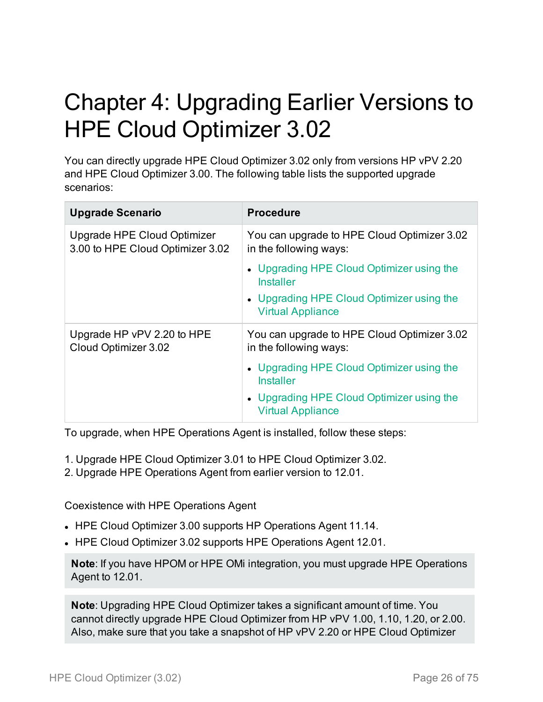# <span id="page-25-0"></span>Chapter 4: Upgrading Earlier Versions to HPE Cloud Optimizer 3.02

You can directly upgrade HPE Cloud Optimizer 3.02 only from versions HP vPV 2.20 and HPE Cloud Optimizer 3.00. The following table lists the supported upgrade scenarios:

| <b>Upgrade Scenario</b>                                                | <b>Procedure</b>                                                      |
|------------------------------------------------------------------------|-----------------------------------------------------------------------|
| <b>Upgrade HPE Cloud Optimizer</b><br>3.00 to HPE Cloud Optimizer 3.02 | You can upgrade to HPE Cloud Optimizer 3.02<br>in the following ways: |
|                                                                        | • Upgrading HPE Cloud Optimizer using the<br><b>Installer</b>         |
|                                                                        | • Upgrading HPE Cloud Optimizer using the<br><b>Virtual Appliance</b> |
| Upgrade HP vPV 2.20 to HPE<br>Cloud Optimizer 3.02                     | You can upgrade to HPE Cloud Optimizer 3.02<br>in the following ways: |
|                                                                        | • Upgrading HPE Cloud Optimizer using the<br><b>Installer</b>         |
|                                                                        | • Upgrading HPE Cloud Optimizer using the<br><b>Virtual Appliance</b> |

To upgrade, when HPE Operations Agent is installed, follow these steps:

- 1. Upgrade HPE Cloud Optimizer 3.01 to HPE Cloud Optimizer 3.02.
- 2. Upgrade HPE Operations Agent from earlier version to 12.01.

Coexistence with HPE Operations Agent

- HPE Cloud Optimizer 3.00 supports HP Operations Agent 11.14.
- HPE Cloud Optimizer 3.02 supports HPE Operations Agent 12.01.

**Note**: If you have HPOM or HPE OMi integration, you must upgrade HPE Operations Agent to 12.01.

**Note**: Upgrading HPE Cloud Optimizer takes a significant amount of time. You cannot directly upgrade HPE Cloud Optimizer from HP vPV 1.00, 1.10, 1.20, or 2.00. Also, make sure that you take a snapshot of HP vPV 2.20 or HPE Cloud Optimizer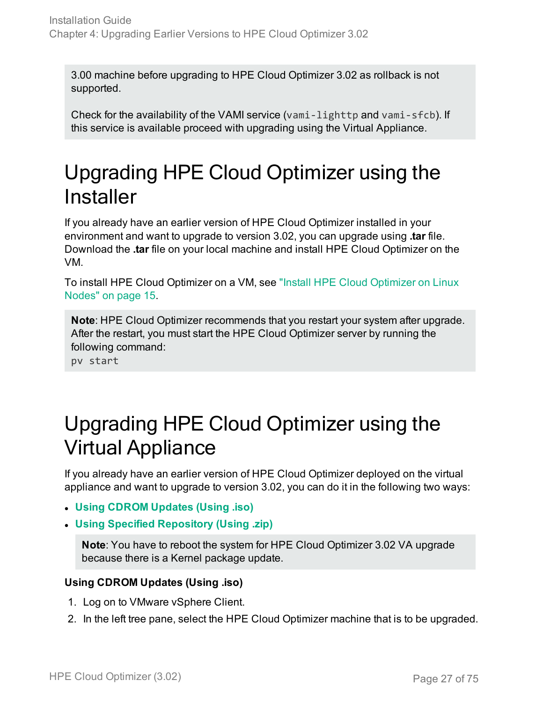3.00 machine before upgrading to HPE Cloud Optimizer 3.02 as rollback is not supported.

Check for the availability of the VAMI service (vami-lighttp and vami-sfcb). If this service is available proceed with upgrading using the Virtual Appliance.

### <span id="page-26-0"></span>Upgrading HPE Cloud Optimizer using the **Installer**

If you already have an earlier version of HPE Cloud Optimizer installed in your environment and want to upgrade to version 3.02, you can upgrade using **.tar** file. Download the **.tar** file on your local machine and install HPE Cloud Optimizer on the VM.

To install HPE Cloud Optimizer on a VM, see "Install HPE Cloud [Optimizer](#page-14-0) on Linux Nodes" on [page 15.](#page-14-0)

**Note**: HPE Cloud Optimizer recommends that you restart your system after upgrade. After the restart, you must start the HPE Cloud Optimizer server by running the following command:

pv start

### <span id="page-26-1"></span>Upgrading HPE Cloud Optimizer using the Virtual Appliance

If you already have an earlier version of HPE Cloud Optimizer deployed on the virtual appliance and want to upgrade to version 3.02, you can do it in the following two ways:

- <sup>l</sup> **Using CDROM [Updates](#page-26-2) (Using .iso)**
- <sup>l</sup> **Using Specified [Repository](#page-27-0) (Using .zip)**

**Note**: You have to reboot the system for HPE Cloud Optimizer 3.02 VA upgrade because there is a Kernel package update.

### <span id="page-26-2"></span>**Using CDROM Updates (Using .iso)**

- 1. Log on to VMware vSphere Client.
- 2. In the left tree pane, select the HPE Cloud Optimizer machine that is to be upgraded.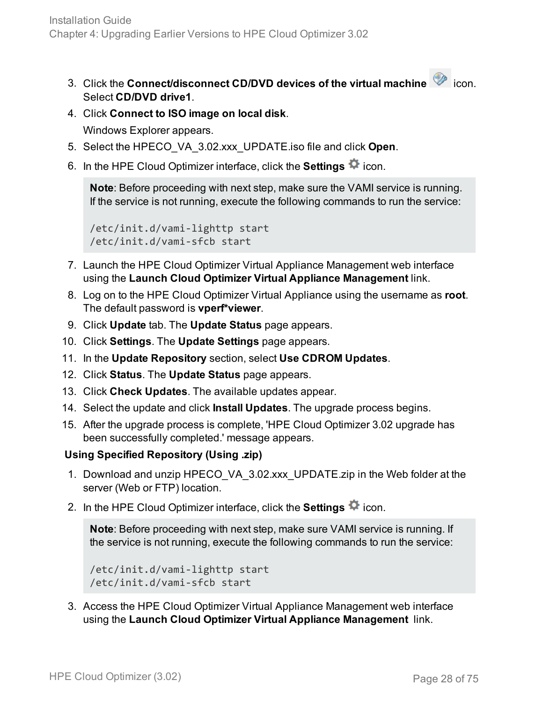- 3. Click the **Connect/disconnect CD/DVD devices of the virtual machine** icon. Select **CD/DVD drive1**.
- 4. Click **Connect to ISO image on local disk**.

Windows Explorer appears.

- 5. Select the HPECO\_VA\_3.02.xxx\_UPDATE.iso file and click **Open**.
- 6. In the HPE Cloud Optimizer interface, click the **Settings**  $\ddot{\bullet}$  icon.

**Note**: Before proceeding with next step, make sure the VAMI service is running. If the service is not running, execute the following commands to run the service:

```
/etc/init.d/vami-lighttp start
/etc/init.d/vami-sfcb start
```
- 7. Launch the HPE Cloud Optimizer Virtual Appliance Management web interface using the **Launch Cloud Optimizer Virtual Appliance Management** link.
- 8. Log on to the HPE Cloud Optimizer Virtual Appliance using the username as **root**. The default password is **vperf\*viewer**.
- 9. Click **Update** tab. The **Update Status** page appears.
- 10. Click **Settings**. The **Update Settings** page appears.
- 11. In the **Update Repository** section, select **Use CDROM Updates**.
- 12. Click **Status**. The **Update Status** page appears.
- 13. Click **Check Updates**. The available updates appear.
- 14. Select the update and click **Install Updates**. The upgrade process begins.
- 15. After the upgrade process is complete, 'HPE Cloud Optimizer 3.02 upgrade has been successfully completed.' message appears.

### <span id="page-27-0"></span>**Using Specified Repository (Using .zip)**

- 1. Download and unzip HPECO\_VA\_3.02.xxx\_UPDATE.zip in the Web folder at the server (Web or FTP) location.
- 2. In the HPE Cloud Optimizer interface, click the **Settings**  $\clubsuit$  icon.

**Note**: Before proceeding with next step, make sure VAMI service is running. If the service is not running, execute the following commands to run the service:

```
/etc/init.d/vami-lighttp start
/etc/init.d/vami-sfcb start
```
3. Access the HPE Cloud Optimizer Virtual Appliance Management web interface using the **Launch Cloud Optimizer Virtual Appliance Management** link.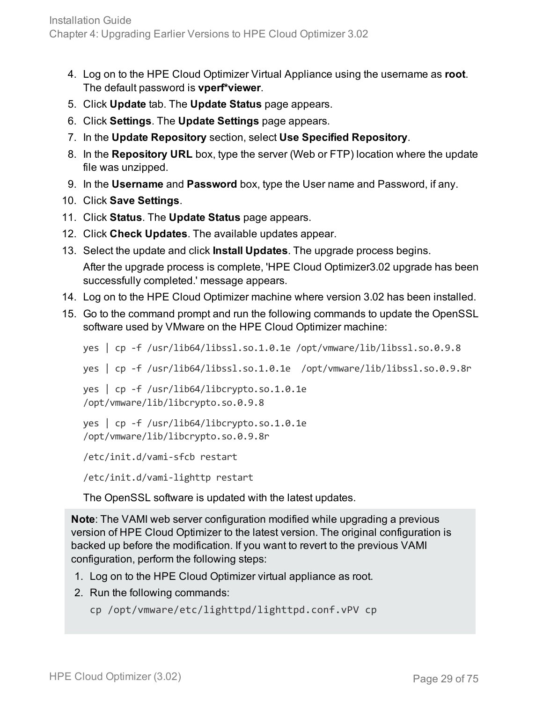- 4. Log on to the HPE Cloud Optimizer Virtual Appliance using the username as **root**. The default password is **vperf\*viewer**.
- 5. Click **Update** tab. The **Update Status** page appears.
- 6. Click **Settings**. The **Update Settings** page appears.
- 7. In the **Update Repository** section, select **Use Specified Repository**.
- 8. In the **Repository URL** box, type the server (Web or FTP) location where the update file was unzipped.
- 9. In the **Username** and **Password** box, type the User name and Password, if any.
- 10. Click **Save Settings**.
- 11. Click **Status**. The **Update Status** page appears.
- 12. Click **Check Updates**. The available updates appear.
- 13. Select the update and click **Install Updates**. The upgrade process begins. After the upgrade process is complete, 'HPE Cloud Optimizer3.02 upgrade has been successfully completed.' message appears.
- 14. Log on to the HPE Cloud Optimizer machine where version 3.02 has been installed.
- 15. Go to the command prompt and run the following commands to update the OpenSSL software used by VMware on the HPE Cloud Optimizer machine:

```
yes | cp -f /usr/lib64/libssl.so.1.0.1e /opt/vmware/lib/libssl.so.0.9.8
yes | cp -f /usr/lib64/libssl.so.1.0.1e /opt/vmware/lib/libssl.so.0.9.8r
```

```
yes | cp -f /usr/lib64/libcrypto.so.1.0.1e
/opt/vmware/lib/libcrypto.so.0.9.8
```

```
yes | cp -f /usr/lib64/libcrypto.so.1.0.1e
/opt/vmware/lib/libcrypto.so.0.9.8r
```

```
/etc/init.d/vami-sfcb restart
```
/etc/init.d/vami-lighttp restart

The OpenSSL software is updated with the latest updates.

**Note**: The VAMI web server configuration modified while upgrading a previous version of HPE Cloud Optimizer to the latest version. The original configuration is backed up before the modification. If you want to revert to the previous VAMI configuration, perform the following steps:

- 1. Log on to the HPE Cloud Optimizer virtual appliance as root.
- 2. Run the following commands:

```
cp /opt/vmware/etc/lighttpd/lighttpd.conf.vPV cp
```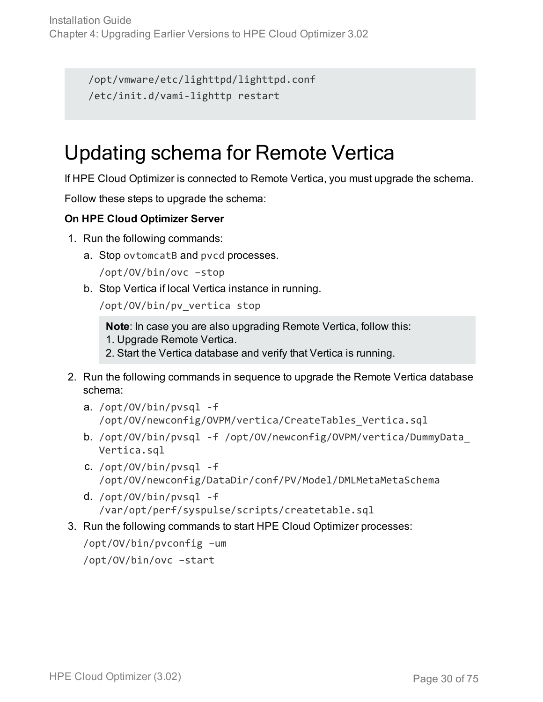```
/opt/vmware/etc/lighttpd/lighttpd.conf
/etc/init.d/vami-lighttp restart
```
### <span id="page-29-0"></span>Updating schema for Remote Vertica

If HPE Cloud Optimizer is connected to Remote Vertica, you must upgrade the schema.

Follow these steps to upgrade the schema:

### **On HPE Cloud Optimizer Server**

- 1. Run the following commands:
	- a. Stop ovtomcatB and pvcd processes.

/opt/OV/bin/ovc –stop

b. Stop Vertica if local Vertica instance in running.

/opt/OV/bin/pv\_vertica stop

**Note**: In case you are also upgrading Remote Vertica, follow this:

1. Upgrade Remote Vertica.

2. Start the Vertica database and verify that Vertica is running.

- 2. Run the following commands in sequence to upgrade the Remote Vertica database schema:
	- a. /opt/OV/bin/pvsql -f /opt/OV/newconfig/OVPM/vertica/CreateTables\_Vertica.sql
	- b. /opt/OV/bin/pvsql -f /opt/OV/newconfig/OVPM/vertica/DummyData\_ Vertica.sql
	- c. /opt/OV/bin/pvsql -f /opt/OV/newconfig/DataDir/conf/PV/Model/DMLMetaMetaSchema
	- d. /opt/OV/bin/pvsql -f /var/opt/perf/syspulse/scripts/createtable.sql
- 3. Run the following commands to start HPE Cloud Optimizer processes:

/opt/OV/bin/pvconfig –um /opt/OV/bin/ovc –start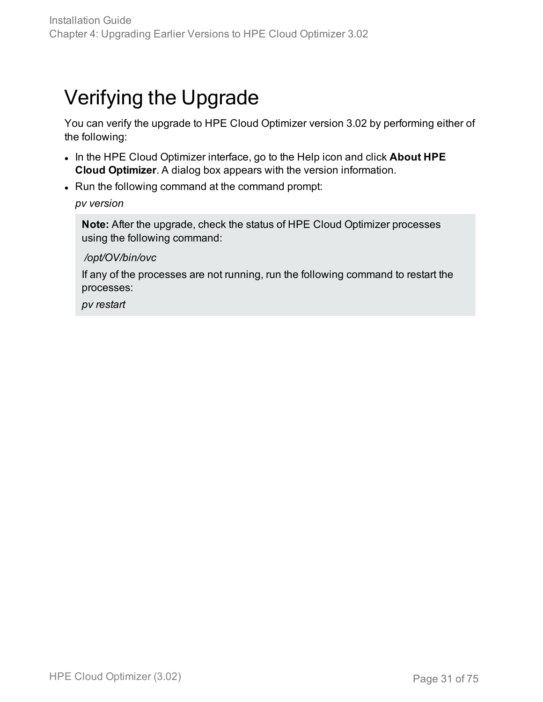### <span id="page-30-0"></span>Verifying the Upgrade

You can verify the upgrade to HPE Cloud Optimizer version 3.02 by performing either of the following:

- In the HPE Cloud Optimizer interface, go to the Help icon and click About HPE **Cloud Optimizer**. A dialog box appears with the version information.
- Run the following command at the command prompt:

#### *pv version*

**Note:** After the upgrade, check the status of HPE Cloud Optimizer processes using the following command:

#### */opt/OV/bin/ovc*

If any of the processes are not running, run the following command to restart the processes:

*pv restart*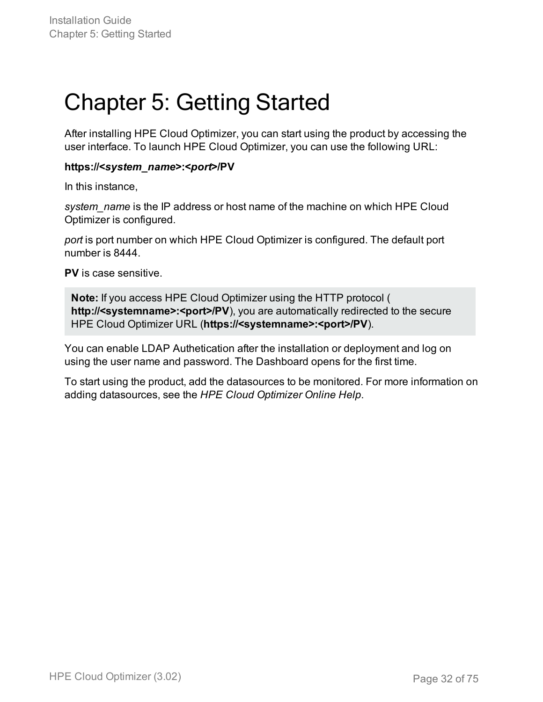# <span id="page-31-0"></span>Chapter 5: Getting Started

After installing HPE Cloud Optimizer, you can start using the product by accessing the user interface. To launch HPE Cloud Optimizer, you can use the following URL:

#### **https://<***system\_name***>:<***port***>/PV**

In this instance,

*system\_name* is the IP address or host name of the machine on which HPE Cloud Optimizer is configured.

*port* is port number on which HPE Cloud Optimizer is configured. The default port number is 8444.

**PV** is case sensitive.

**Note:** If you access HPE Cloud Optimizer using the HTTP protocol ( http://**<systemname>:<port>/PV**), you are automatically redirected to the secure HPE Cloud Optimizer URL (**https://<systemname>:<port>/PV**).

You can enable LDAP Authetication after the installation or deployment and log on using the user name and password. The Dashboard opens for the first time.

To start using the product, add the datasources to be monitored. For more information on adding datasources, see the *HPE Cloud Optimizer Online Help*.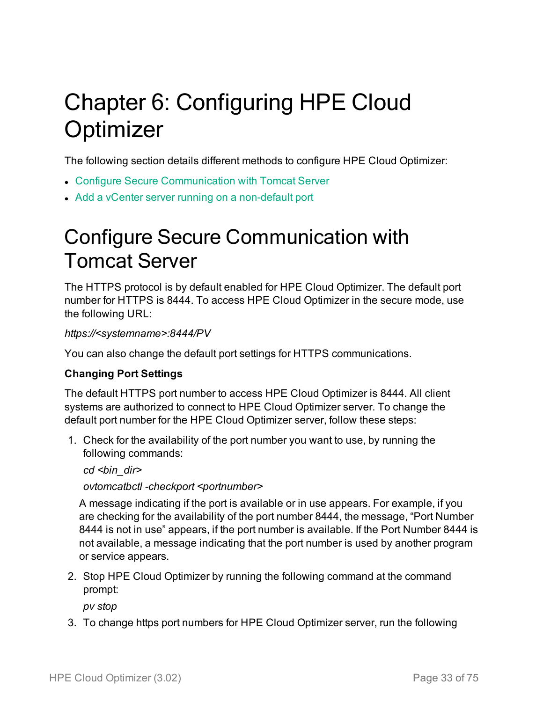# <span id="page-32-0"></span>Chapter 6: Configuring HPE Cloud **Optimizer**

The following section details different methods to configure HPE Cloud Optimizer:

- Configure Secure [Communication](#page-32-1) with Tomcat Server
- <span id="page-32-1"></span>• Add a vCenter server running on a [non-default](#page-34-0) port

### Configure Secure Communication with Tomcat Server

The HTTPS protocol is by default enabled for HPE Cloud Optimizer. The default port number for HTTPS is 8444. To access HPE Cloud Optimizer in the secure mode, use the following URL:

#### *https://<systemname>:8444/PV*

You can also change the default port settings for HTTPS communications.

#### **Changing Port Settings**

The default HTTPS port number to access HPE Cloud Optimizer is 8444. All client systems are authorized to connect to HPE Cloud Optimizer server. To change the default port number for the HPE Cloud Optimizer server, follow these steps:

1. Check for the availability of the port number you want to use, by running the following commands:

*cd <bin\_dir>*

*ovtomcatbctl -checkport <portnumber>*

A message indicating if the port is available or in use appears. For example, if you are checking for the availability of the port number 8444, the message, "Port Number 8444 is not in use" appears, if the port number is available. If the Port Number 8444 is not available, a message indicating that the port number is used by another program or service appears.

2. Stop HPE Cloud Optimizer by running the following command at the command prompt:

*pv stop*

3. To change https port numbers for HPE Cloud Optimizer server, run the following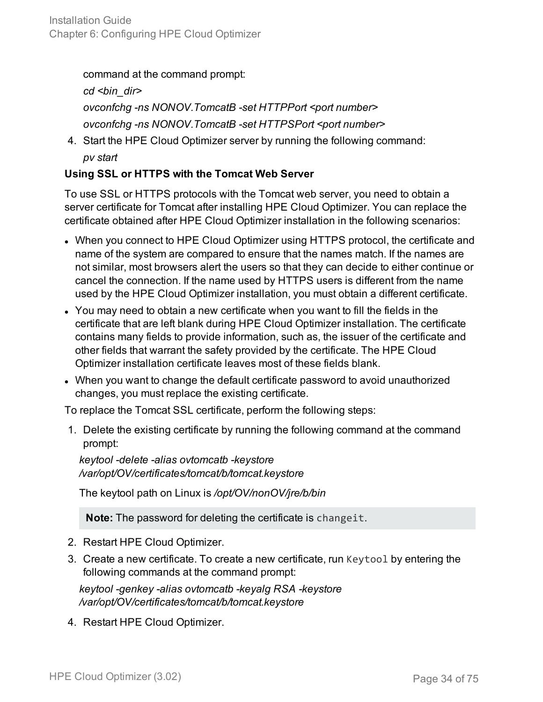command at the command prompt:

*cd <bin\_dir> ovconfchg -ns NONOV.TomcatB -set HTTPPort <port number> ovconfchg -ns NONOV.TomcatB -set HTTPSPort <port number>*

4. Start the HPE Cloud Optimizer server by running the following command: *pv start*

### **Using SSL or HTTPS with the Tomcat Web Server**

To use SSL or HTTPS protocols with the Tomcat web server, you need to obtain a server certificate for Tomcat after installing HPE Cloud Optimizer. You can replace the certificate obtained after HPE Cloud Optimizer installation in the following scenarios:

- When you connect to HPE Cloud Optimizer using HTTPS protocol, the certificate and name of the system are compared to ensure that the names match. If the names are not similar, most browsers alert the users so that they can decide to either continue or cancel the connection. If the name used by HTTPS users is different from the name used by the HPE Cloud Optimizer installation, you must obtain a different certificate.
- You may need to obtain a new certificate when you want to fill the fields in the certificate that are left blank during HPE Cloud Optimizer installation. The certificate contains many fields to provide information, such as, the issuer of the certificate and other fields that warrant the safety provided by the certificate. The HPE Cloud Optimizer installation certificate leaves most of these fields blank.
- When you want to change the default certificate password to avoid unauthorized changes, you must replace the existing certificate.

To replace the Tomcat SSL certificate, perform the following steps:

1. Delete the existing certificate by running the following command at the command prompt:

*keytool -delete -alias ovtomcatb -keystore /var/opt/OV/certificates/tomcat/b/tomcat.keystore*

The keytool path on Linux is */opt/OV/nonOV/jre/b/bin*

**Note:** The password for deleting the certificate is changeit.

- 2. Restart HPE Cloud Optimizer.
- 3. Create a new certificate. To create a new certificate, run Keytool by entering the following commands at the command prompt:

*keytool -genkey -alias ovtomcatb -keyalg RSA -keystore /var/opt/OV/certificates/tomcat/b/tomcat.keystore*

4. Restart HPE Cloud Optimizer.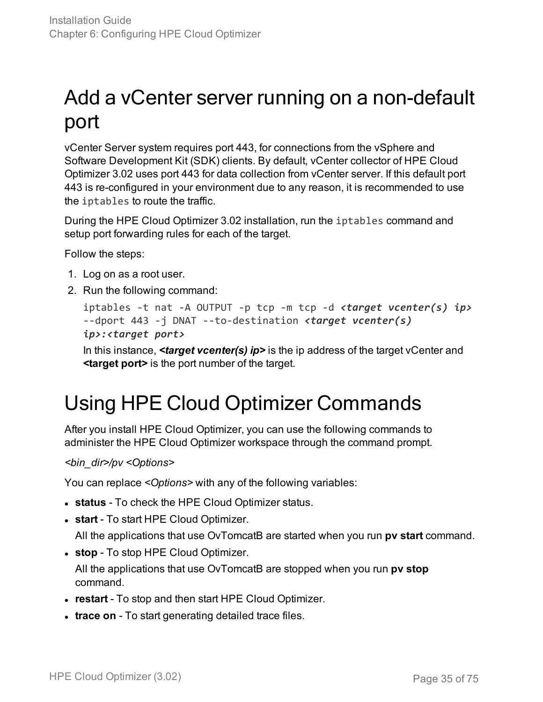## <span id="page-34-0"></span>Add a vCenter server running on a non-default port

vCenter Server system requires port 443, for connections from the vSphere and Software Development Kit (SDK) clients. By default, vCenter collector of HPE Cloud Optimizer 3.02 uses port 443 for data collection from vCenter server. If this default port 443 is re-configured in your environment due to any reason, it is recommended to use the iptables to route the traffic.

During the HPE Cloud Optimizer 3.02 installation, run the iptables command and setup port forwarding rules for each of the target.

Follow the steps:

- 1. Log on as a root user.
- 2. Run the following command:

```
iptables -t nat -A OUTPUT -p tcp -m tcp -d <target vcenter(s) ip>
--dport 443 -j DNAT --to-destination <target vcenter(s)
ip>:<target port>
```
In this instance, *<target vcenter(s) ip>* is the ip address of the target vCenter and **<target port>** is the port number of the target.

### <span id="page-34-1"></span>Using HPE Cloud Optimizer Commands

After you install HPE Cloud Optimizer, you can use the following commands to administer the HPE Cloud Optimizer workspace through the command prompt.

*<bin\_dir>/pv <Options>*

You can replace *<Options>* with any of the following variables:

- **status** To check the HPE Cloud Optimizer status.
- **start** To start HPE Cloud Optimizer.

All the applications that use OvTomcatB are started when you run **pv start** command.

**• stop** - To stop HPE Cloud Optimizer.

All the applications that use OvTomcatB are stopped when you run **pv stop** command.

- **restart** To stop and then start HPE Cloud Optimizer.
- **trace on** To start generating detailed trace files.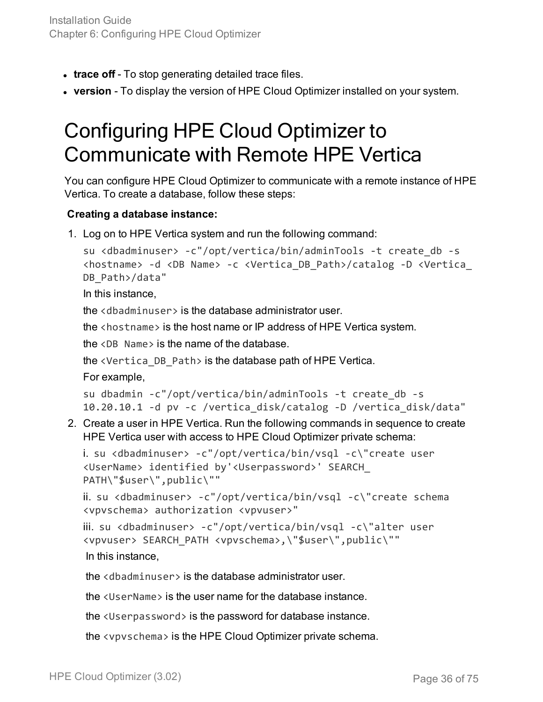- **trace off** To stop generating detailed trace files.
- <span id="page-35-0"></span>**• version** - To display the version of HPE Cloud Optimizer installed on your system.

### Configuring HPE Cloud Optimizer to Communicate with Remote HPE Vertica

You can configure HPE Cloud Optimizer to communicate with a remote instance of HPE Vertica. To create a database, follow these steps:

### **Creating a database instance:**

1. Log on to HPE Vertica system and run the following command:

```
su <dbadminuser> -c"/opt/vertica/bin/adminTools -t create_db -s
<hostname> -d <DB Name> -c <Vertica_DB_Path>/catalog -D <Vertica_
DB_Path>/data"
```
In this instance,

the <dbadminuser> is the database administrator user.

the <hostname> is the host name or IP address of HPE Vertica system.

the <DB Name> is the name of the database.

the <Vertica\_DB\_Path> is the database path of HPE Vertica.

For example,

```
su dbadmin -c"/opt/vertica/bin/adminTools -t create_db -s
10.20.10.1 -d pv -c /vertica_disk/catalog -D /vertica_disk/data"
```
2. Create a user in HPE Vertica. Run the following commands in sequence to create HPE Vertica user with access to HPE Cloud Optimizer private schema:

```
i. su <dbadminuser> -c"/opt/vertica/bin/vsql -c\"create user
<UserName> identified by'<Userpassword>' SEARCH_
PATH\"$user\",public\""
```
ii. su <dbadminuser> -c"/opt/vertica/bin/vsql -c\"create schema <vpvschema> authorization <vpvuser>"

```
iii.  su <dbadminuser> -c"/opt/vertica/bin/vsql -c\"alter user
<vpvuser> SEARCH_PATH <vpvschema>,\"$user\",public\""
In this instance,
```
the <dbadminuser> is the database administrator user.

the <UserName> is the user name for the database instance.

the <Userpassword> is the password for database instance.

the <vpvschema> is the HPE Cloud Optimizer private schema.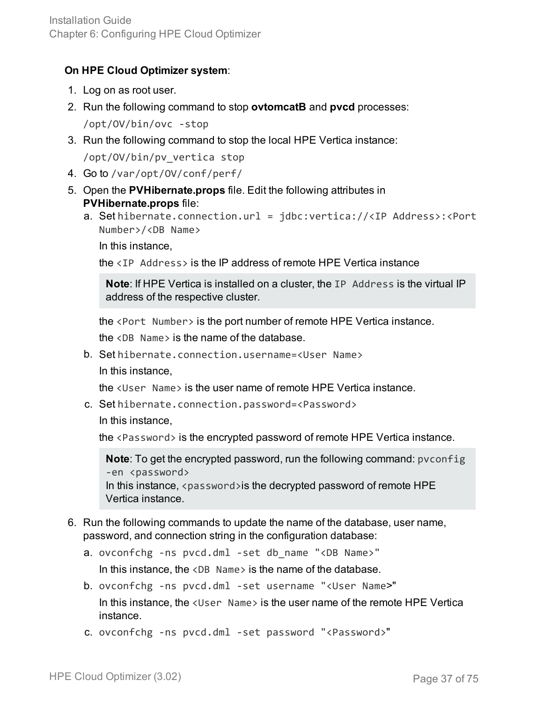#### **On HPE Cloud Optimizer system**:

- 1. Log on as root user.
- 2. Run the following command to stop **ovtomcatB** and **pvcd** processes: /opt/OV/bin/ovc -stop
- 3. Run the following command to stop the local HPE Vertica instance: /opt/OV/bin/pv\_vertica stop
- 4. Go to /var/opt/OV/conf/perf/
- 5. Open the **PVHibernate.props** file. Edit the following attributes in **PVHibernate.props** file:
	- a. Set hibernate.connection.url = jdbc:vertica://<IP Address>:<Port Number>/<DB Name>

In this instance,

the <IP Address> is the IP address of remote HPE Vertica instance

**Note**: If HPE Vertica is installed on a cluster, the IP Address is the virtual IP address of the respective cluster.

the <Port Number> is the port number of remote HPE Vertica instance.

the <DB Name> is the name of the database.

b. Set hibernate.connection.username=<User Name> In this instance,

the <User Name> is the user name of remote HPE Vertica instance.

c. Set hibernate.connection.password=<Password>

In this instance,

the <Password> is the encrypted password of remote HPE Vertica instance.

**Note**: To get the encrypted password, run the following command: pvconfig -en <password> In this instance, <password>is the decrypted password of remote HPE Vertica instance.

- 6. Run the following commands to update the name of the database, user name, password, and connection string in the configuration database:
	- a. ovconfchg -ns pvcd.dml -set db\_name "<DB Name>"

In this instance, the  $\langle$ DB Name  $\rangle$  is the name of the database.

- b. ovconfchg -ns pvcd.dml -set username "<User Name>" In this instance, the <User Name> is the user name of the remote HPE Vertica instance.
- c. ovconfchg -ns pvcd.dml -set password "<Password>"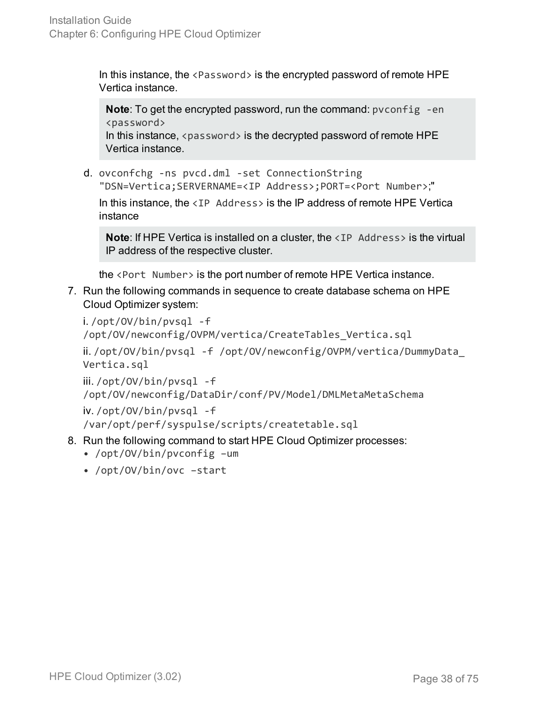In this instance, the  $\langle$  Password $\rangle$  is the encrypted password of remote HPE Vertica instance.

**Note:** To get the encrypted password, run the command: pyconfig -en <password> In this instance,  $\langle$  password $\rangle$  is the decrypted password of remote HPE Vertica instance.

d. ovconfchg -ns pvcd.dml -set ConnectionString "DSN=Vertica;SERVERNAME=<IP Address>;PORT=<Port Number>;"

In this instance, the  $\langle IP \rangle$  Address is the IP address of remote HPE Vertica instance

**Note:** If HPE Vertica is installed on a cluster, the <IP Address> is the virtual IP address of the respective cluster.

the <Port Number> is the port number of remote HPE Vertica instance.

7. Run the following commands in sequence to create database schema on HPE Cloud Optimizer system:

```
i. /opt/OV/bin/pvsql -f
/opt/OV/newconfig/OVPM/vertica/CreateTables_Vertica.sql
```

```
ii. /opt/OV/bin/pvsql -f /opt/OV/newconfig/OVPM/vertica/DummyData_
Vertica.sql
```
iii. /opt/OV/bin/pvsql -f

/opt/OV/newconfig/DataDir/conf/PV/Model/DMLMetaMetaSchema

iv. /opt/OV/bin/pvsql -f

/var/opt/perf/syspulse/scripts/createtable.sql

- 8. Run the following command to start HPE Cloud Optimizer processes:
	- /opt/OV/bin/pvconfig –um
	- /opt/OV/bin/ovc –start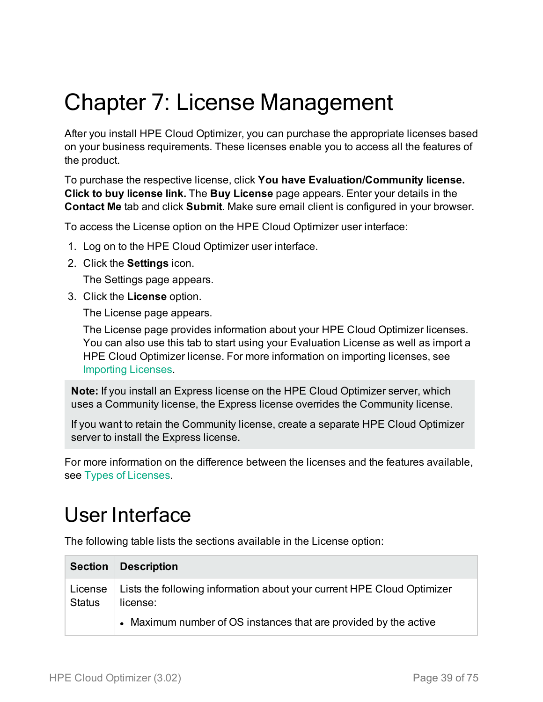# Chapter 7: License Management

After you install HPE Cloud Optimizer, you can purchase the appropriate licenses based on your business requirements. These licenses enable you to access all the features of the product.

To purchase the respective license, click **You have Evaluation/Community license. Click to buy license link.** The **Buy License** page appears. Enter your details in the **Contact Me** tab and click **Submit**. Make sure email client is configured in your browser.

To access the License option on the HPE Cloud Optimizer user interface:

- 1. Log on to the HPE Cloud Optimizer user interface.
- 2. Click the **Settings** icon.

The Settings page appears.

3. Click the **License** option.

The License page appears.

The License page provides information about your HPE Cloud Optimizer licenses. You can also use this tab to start using your Evaluation License as well as import a HPE Cloud Optimizer license. For more information on importing licenses, see [Importing](#page-45-0) Licenses.

**Note:** If you install an Express license on the HPE Cloud Optimizer server, which uses a Community license, the Express license overrides the Community license.

If you want to retain the Community license, create a separate HPE Cloud Optimizer server to install the Express license.

For more information on the difference between the licenses and the features available, see Types of [Licenses](#page-39-0).

### User Interface

The following table lists the sections available in the License option:

| <b>Section</b>           | <b>Description</b>                                                                 |
|--------------------------|------------------------------------------------------------------------------------|
| License<br><b>Status</b> | Lists the following information about your current HPE Cloud Optimizer<br>license: |
|                          | • Maximum number of OS instances that are provided by the active                   |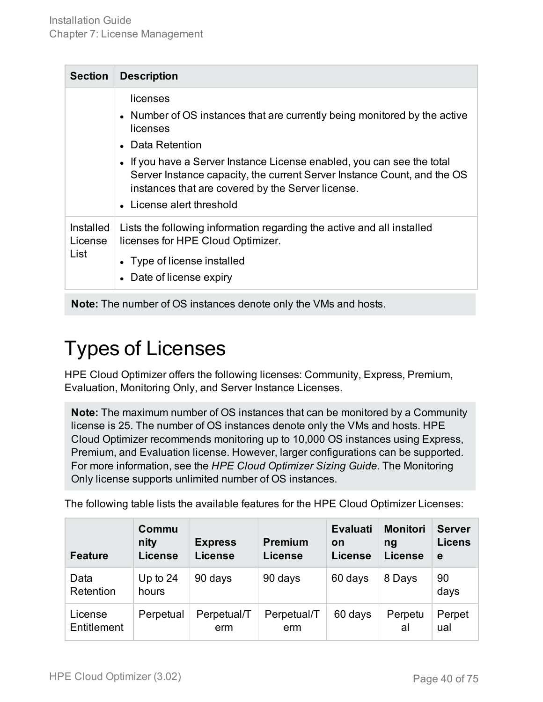| <b>Section</b>                      | <b>Description</b>                                                                                                                                                                                                                                                                                                                                           |
|-------------------------------------|--------------------------------------------------------------------------------------------------------------------------------------------------------------------------------------------------------------------------------------------------------------------------------------------------------------------------------------------------------------|
|                                     | licenses<br>• Number of OS instances that are currently being monitored by the active<br>licenses<br>• Data Retention<br>• If you have a Server Instance License enabled, you can see the total<br>Server Instance capacity, the current Server Instance Count, and the OS<br>instances that are covered by the Server license.<br>• License alert threshold |
| <b>Installed</b><br>License<br>List | Lists the following information regarding the active and all installed<br>licenses for HPE Cloud Optimizer.<br>• Type of license installed<br>• Date of license expiry                                                                                                                                                                                       |

<span id="page-39-0"></span>**Note:** The number of OS instances denote only the VMs and hosts.

## Types of Licenses

HPE Cloud Optimizer offers the following licenses: Community, Express, Premium, Evaluation, Monitoring Only, and Server Instance Licenses.

**Note:** The maximum number of OS instances that can be monitored by a Community license is 25. The number of OS instances denote only the VMs and hosts. HPE Cloud Optimizer recommends monitoring up to 10,000 OS instances using Express, Premium, and Evaluation license. However, larger configurations can be supported. For more information, see the *HPE Cloud Optimizer Sizing Guide*. The Monitoring Only license supports unlimited number of OS instances.

The following table lists the available features for the HPE Cloud Optimizer Licenses:

| <b>Feature</b>         | Commu<br>nity<br><b>License</b> | <b>Express</b><br><b>License</b> | <b>Premium</b><br><b>License</b> | <b>Evaluati</b><br>on<br>License | <b>Monitori</b><br>na<br><b>License</b> | <b>Server</b><br><b>Licens</b><br>e |
|------------------------|---------------------------------|----------------------------------|----------------------------------|----------------------------------|-----------------------------------------|-------------------------------------|
| Data<br>Retention      | Up to $24$<br>hours             | 90 days                          | 90 days                          | 60 days                          | 8 Days                                  | 90<br>days                          |
| License<br>Entitlement | Perpetual                       | Perpetual/T<br>erm               | Perpetual/T<br>erm               | 60 days                          | Perpetu<br>al                           | Perpet<br>ual                       |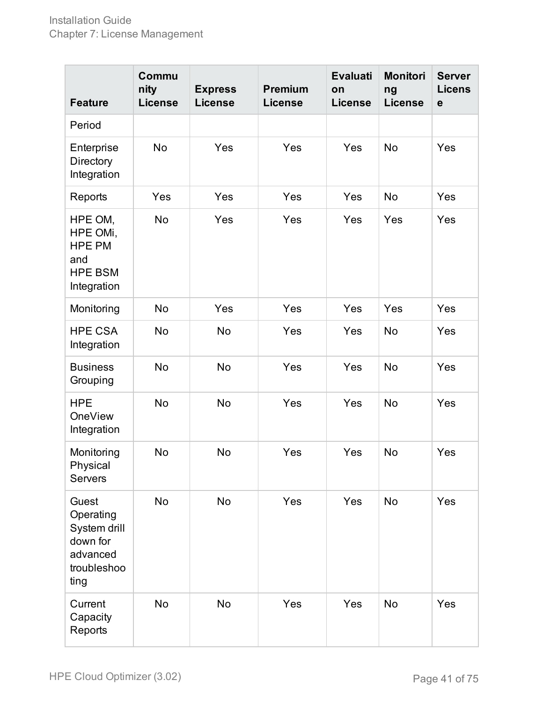| <b>Feature</b>                                                                    | Commu<br>nity<br><b>License</b> | <b>Express</b><br><b>License</b> | <b>Premium</b><br><b>License</b> | <b>Evaluati</b><br>on<br><b>License</b> | <b>Monitori</b><br>ng<br><b>License</b> | <b>Server</b><br><b>Licens</b><br>$\mathbf e$ |
|-----------------------------------------------------------------------------------|---------------------------------|----------------------------------|----------------------------------|-----------------------------------------|-----------------------------------------|-----------------------------------------------|
| Period                                                                            |                                 |                                  |                                  |                                         |                                         |                                               |
| Enterprise<br>Directory<br>Integration                                            | <b>No</b>                       | Yes                              | Yes                              | Yes                                     | <b>No</b>                               | Yes                                           |
| Reports                                                                           | Yes                             | Yes                              | Yes                              | Yes                                     | <b>No</b>                               | Yes                                           |
| HPE OM,<br>HPE OMi,<br><b>HPE PM</b><br>and<br><b>HPE BSM</b><br>Integration      | <b>No</b>                       | Yes                              | Yes                              | Yes                                     | Yes                                     | Yes                                           |
| Monitoring                                                                        | <b>No</b>                       | Yes                              | Yes                              | Yes                                     | Yes                                     | Yes                                           |
| <b>HPE CSA</b><br>Integration                                                     | <b>No</b>                       | No                               | Yes                              | Yes                                     | <b>No</b>                               | Yes                                           |
| <b>Business</b><br>Grouping                                                       | <b>No</b>                       | <b>No</b>                        | Yes                              | Yes                                     | <b>No</b>                               | Yes                                           |
| <b>HPE</b><br><b>OneView</b><br>Integration                                       | <b>No</b>                       | <b>No</b>                        | Yes                              | Yes                                     | <b>No</b>                               | Yes                                           |
| Monitoring<br>Physical<br><b>Servers</b>                                          | No                              | <b>No</b>                        | Yes                              | Yes                                     | <b>No</b>                               | Yes                                           |
| Guest<br>Operating<br>System drill<br>down for<br>advanced<br>troubleshoo<br>ting | No                              | No                               | Yes                              | Yes                                     | <b>No</b>                               | Yes                                           |
| Current<br>Capacity<br>Reports                                                    | <b>No</b>                       | <b>No</b>                        | Yes                              | Yes                                     | No                                      | Yes                                           |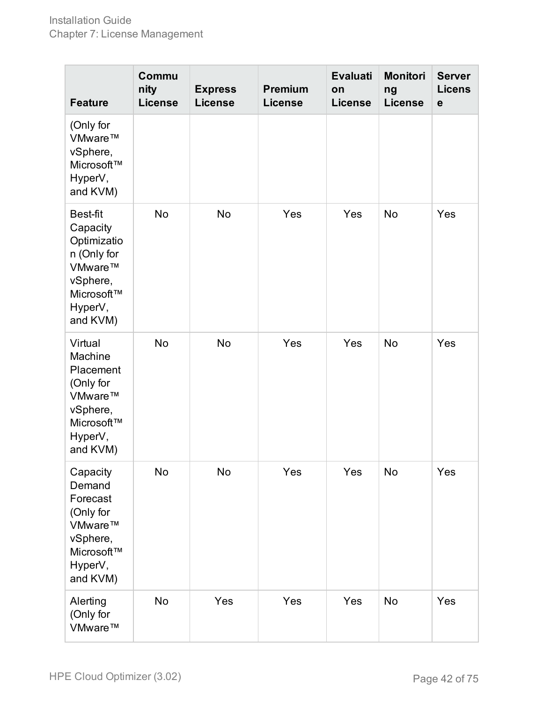| <b>Feature</b>                                                                                                 | Commu<br>nity<br><b>License</b> | <b>Express</b><br><b>License</b> | <b>Premium</b><br><b>License</b> | <b>Evaluati</b><br>on<br><b>License</b> | <b>Monitori</b><br>ng<br><b>License</b> | <b>Server</b><br><b>Licens</b><br>$\mathbf e$ |
|----------------------------------------------------------------------------------------------------------------|---------------------------------|----------------------------------|----------------------------------|-----------------------------------------|-----------------------------------------|-----------------------------------------------|
| (Only for<br>VMware™<br>vSphere,<br>Microsoft™<br>HyperV,<br>and KVM)                                          |                                 |                                  |                                  |                                         |                                         |                                               |
| Best-fit<br>Capacity<br>Optimizatio<br>n (Only for<br>VMware™<br>vSphere,<br>Microsoft™<br>HyperV,<br>and KVM) | <b>No</b>                       | No                               | Yes                              | Yes                                     | No                                      | Yes                                           |
| Virtual<br>Machine<br>Placement<br>(Only for<br>VMware™<br>vSphere,<br>Microsoft™<br>HyperV,<br>and KVM)       | No                              | No                               | Yes                              | Yes                                     | No                                      | Yes                                           |
| Capacity<br>Demand<br>Forecast<br>(Only for<br>VMware™<br>vSphere,<br>Microsoft™<br>HyperV,<br>and KVM)        | No                              | No                               | Yes                              | Yes                                     | No                                      | Yes                                           |
| Alerting<br>(Only for<br>VMware™                                                                               | No                              | Yes                              | Yes                              | Yes                                     | No                                      | Yes                                           |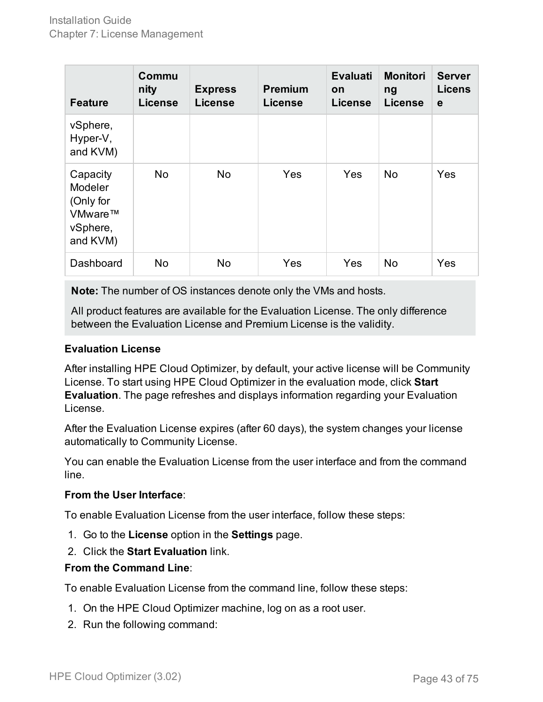| <b>Feature</b>                                                             | Commu<br>nity<br><b>License</b> | <b>Express</b><br><b>License</b> | <b>Premium</b><br><b>License</b> | <b>Evaluati</b><br>on<br><b>License</b> | <b>Monitori</b><br>ng<br><b>License</b> | <b>Server</b><br><b>Licens</b><br>$\mathbf e$ |
|----------------------------------------------------------------------------|---------------------------------|----------------------------------|----------------------------------|-----------------------------------------|-----------------------------------------|-----------------------------------------------|
| vSphere,<br>Hyper-V,<br>and KVM)                                           |                                 |                                  |                                  |                                         |                                         |                                               |
| Capacity<br><b>Modeler</b><br>(Only for<br>VMware™<br>vSphere,<br>and KVM) | No                              | No                               | Yes                              | Yes                                     | <b>No</b>                               | Yes                                           |
| <b>Dashboard</b>                                                           | No                              | No                               | Yes                              | Yes                                     | <b>No</b>                               | Yes                                           |

**Note:** The number of OS instances denote only the VMs and hosts.

All product features are available for the Evaluation License. The only difference between the Evaluation License and Premium License is the validity.

#### **Evaluation License**

After installing HPE Cloud Optimizer, by default, your active license will be Community License. To start using HPE Cloud Optimizer in the evaluation mode, click **Start Evaluation**. The page refreshes and displays information regarding your Evaluation License.

After the Evaluation License expires (after 60 days), the system changes your license automatically to Community License.

You can enable the Evaluation License from the user interface and from the command line.

#### **From the User Interface**:

To enable Evaluation License from the user interface, follow these steps:

- 1. Go to the **License** option in the **Settings** page.
- 2. Click the **Start Evaluation** link.

#### **From the Command Line**:

To enable Evaluation License from the command line, follow these steps:

- 1. On the HPE Cloud Optimizer machine, log on as a root user.
- 2. Run the following command: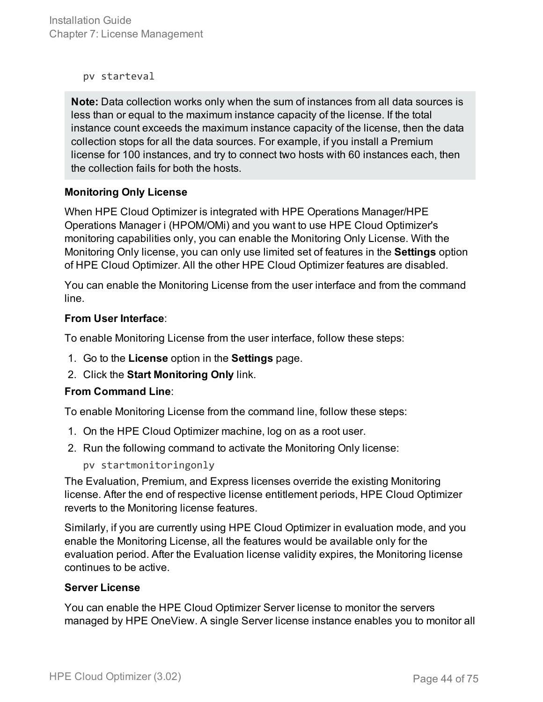Installation Guide Chapter 7: License Management

pv starteval

**Note:** Data collection works only when the sum of instances from all data sources is less than or equal to the maximum instance capacity of the license. If the total instance count exceeds the maximum instance capacity of the license, then the data collection stops for all the data sources. For example, if you install a Premium license for 100 instances, and try to connect two hosts with 60 instances each, then the collection fails for both the hosts.

#### **Monitoring Only License**

When HPE Cloud Optimizer is integrated with HPE Operations Manager/HPE Operations Manager i (HPOM/OMi) and you want to use HPE Cloud Optimizer's monitoring capabilities only, you can enable the Monitoring Only License. With the Monitoring Only license, you can only use limited set of features in the **Settings** option of HPE Cloud Optimizer. All the other HPE Cloud Optimizer features are disabled.

You can enable the Monitoring License from the user interface and from the command line.

#### **From User Interface**:

To enable Monitoring License from the user interface, follow these steps:

- 1. Go to the **License** option in the **Settings** page.
- 2. Click the **Start Monitoring Only** link.

#### **From Command Line**:

To enable Monitoring License from the command line, follow these steps:

- 1. On the HPE Cloud Optimizer machine, log on as a root user.
- 2. Run the following command to activate the Monitoring Only license:

pv startmonitoringonly

The Evaluation, Premium, and Express licenses override the existing Monitoring license. After the end of respective license entitlement periods, HPE Cloud Optimizer reverts to the Monitoring license features.

Similarly, if you are currently using HPE Cloud Optimizer in evaluation mode, and you enable the Monitoring License, all the features would be available only for the evaluation period. After the Evaluation license validity expires, the Monitoring license continues to be active.

#### **Server License**

You can enable the HPE Cloud Optimizer Server license to monitor the servers managed by HPE OneView. A single Server license instance enables you to monitor all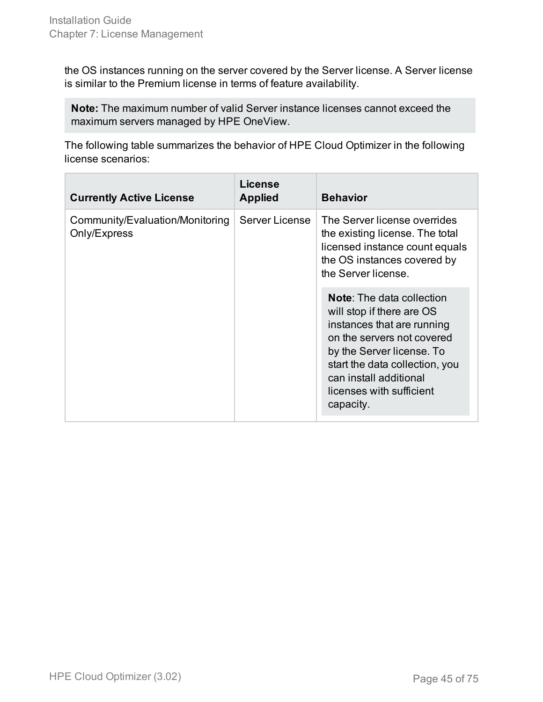the OS instances running on the server covered by the Server license. A Server license is similar to the Premium license in terms of feature availability.

**Note:** The maximum number of valid Server instance licenses cannot exceed the maximum servers managed by HPE OneView.

The following table summarizes the behavior of HPE Cloud Optimizer in the following license scenarios:

| <b>Currently Active License</b>                 | License<br><b>Applied</b> | <b>Behavior</b>                                                                                                                                                                                                                                             |
|-------------------------------------------------|---------------------------|-------------------------------------------------------------------------------------------------------------------------------------------------------------------------------------------------------------------------------------------------------------|
| Community/Evaluation/Monitoring<br>Only/Express | <b>Server License</b>     | The Server license overrides<br>the existing license. The total<br>licensed instance count equals<br>the OS instances covered by<br>the Server license.                                                                                                     |
|                                                 |                           | <b>Note:</b> The data collection<br>will stop if there are OS<br>instances that are running<br>on the servers not covered<br>by the Server license. To<br>start the data collection, you<br>can install additional<br>licenses with sufficient<br>capacity. |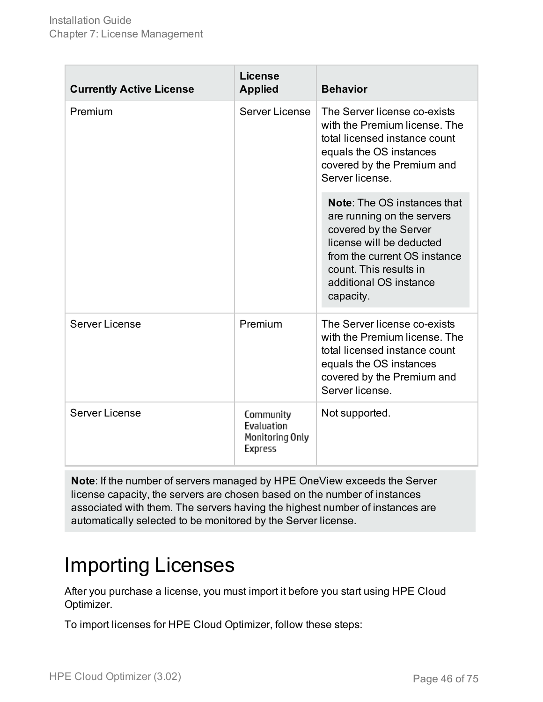| <b>Currently Active License</b> | License<br><b>Applied</b>                             | <b>Behavior</b>                                                                                                                                                                                                        |
|---------------------------------|-------------------------------------------------------|------------------------------------------------------------------------------------------------------------------------------------------------------------------------------------------------------------------------|
| Premium                         | Server License                                        | The Server license co-exists<br>with the Premium license. The<br>total licensed instance count<br>equals the OS instances<br>covered by the Premium and<br>Server license.                                             |
|                                 |                                                       | <b>Note:</b> The OS instances that<br>are running on the servers<br>covered by the Server<br>license will be deducted<br>from the current OS instance<br>count. This results in<br>additional OS instance<br>capacity. |
| Server License                  | Premium                                               | The Server license co-exists<br>with the Premium license. The<br>total licensed instance count<br>equals the OS instances<br>covered by the Premium and<br>Server license.                                             |
| Server License                  | Community<br>Evaluation<br>Monitoring Only<br>Express | Not supported.                                                                                                                                                                                                         |

**Note**: If the number of servers managed by HPE OneView exceeds the Server license capacity, the servers are chosen based on the number of instances associated with them. The servers having the highest number of instances are automatically selected to be monitored by the Server license.

### <span id="page-45-0"></span>Importing Licenses

After you purchase a license, you must import it before you start using HPE Cloud Optimizer.

To import licenses for HPE Cloud Optimizer, follow these steps: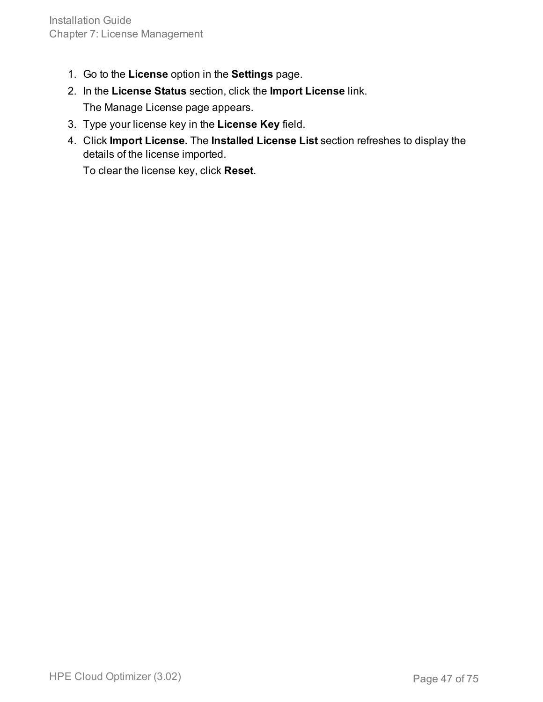- 1. Go to the **License** option in the **Settings** page.
- 2. In the **License Status** section, click the **Import License** link. The Manage License page appears.
- 3. Type your license key in the **License Key** field.
- 4. Click **Import License.** The **Installed License List** section refreshes to display the details of the license imported.

To clear the license key, click **Reset**.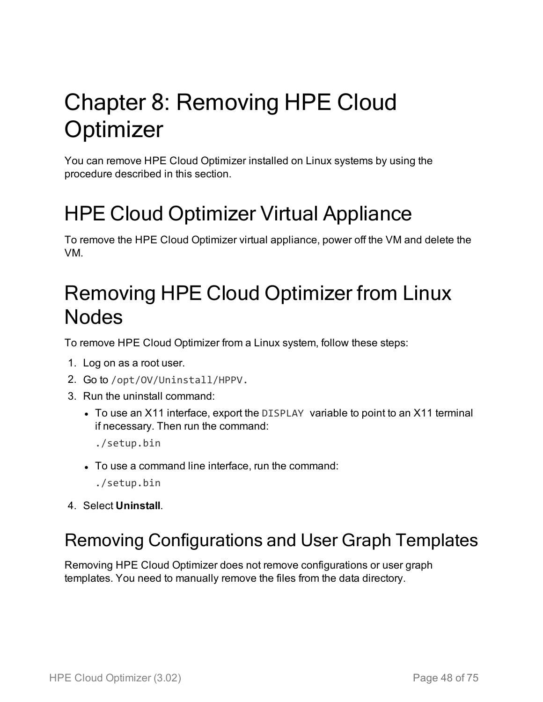# Chapter 8: Removing HPE Cloud **Optimizer**

You can remove HPE Cloud Optimizer installed on Linux systems by using the procedure described in this section.

## HPE Cloud Optimizer Virtual Appliance

To remove the HPE Cloud Optimizer virtual appliance, power off the VM and delete the VM.

## Removing HPE Cloud Optimizer from Linux Nodes

To remove HPE Cloud Optimizer from a Linux system, follow these steps:

- 1. Log on as a root user.
- 2. Go to /opt/OV/Uninstall/HPPV.
- 3. Run the uninstall command:
	- To use an X11 interface, export the DISPLAY variable to point to an X11 terminal if necessary. Then run the command:
		- ./setup.bin
	- To use a command line interface, run the command:
		- ./setup.bin
- 4. Select **Uninstall**.

### Removing Configurations and User Graph Templates

Removing HPE Cloud Optimizer does not remove configurations or user graph templates. You need to manually remove the files from the data directory.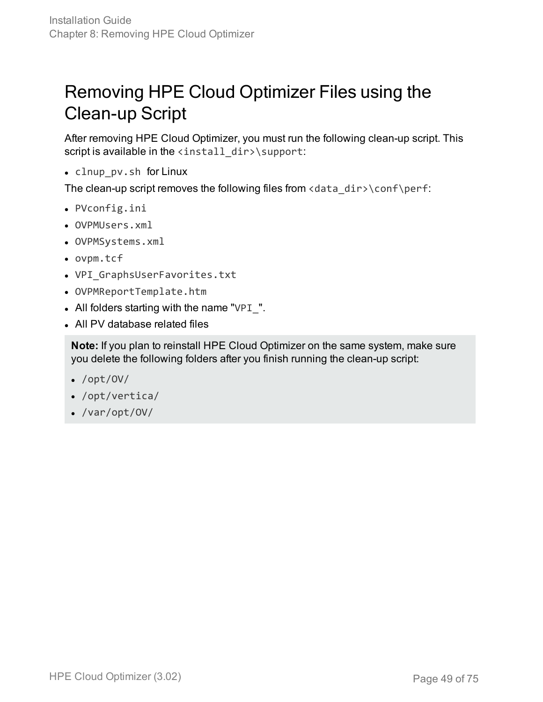### Removing HPE Cloud Optimizer Files using the Clean-up Script

After removing HPE Cloud Optimizer, you must run the following clean-up script. This script is available in the  $\langle$ install\_dir>\support:

• clnup\_pv.sh for Linux

The clean-up script removes the following files from <data\_dir>\conf\perf:

- PVconfig.ini
- OVPMUsers.xml
- OVPMSystems.xml
- <sup>l</sup> ovpm.tcf
- VPI\_GraphsUserFavorites.txt
- OVPMReportTemplate.htm
- All folders starting with the name "VPI $\__$ ".
- All PV database related files

**Note:** If you plan to reinstall HPE Cloud Optimizer on the same system, make sure you delete the following folders after you finish running the clean-up script:

- $\bullet$  /opt/OV/
- $\bullet$  /opt/vertica/
- $\bullet$  /var/opt/OV/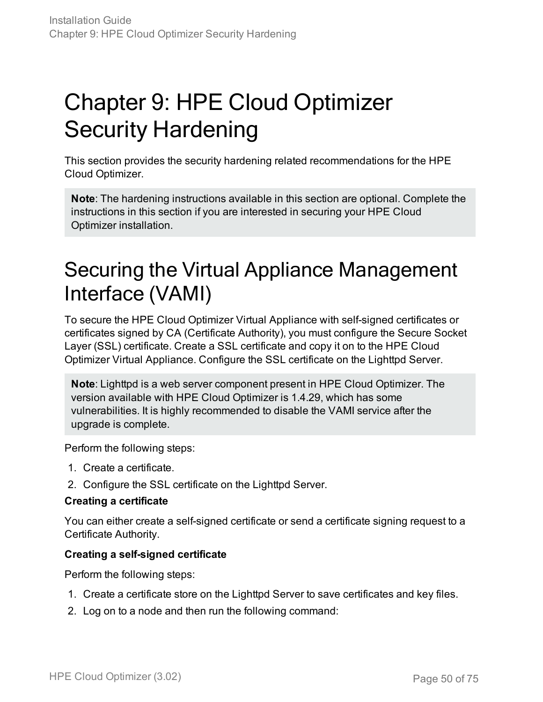# Chapter 9: HPE Cloud Optimizer Security Hardening

This section provides the security hardening related recommendations for the HPE Cloud Optimizer.

**Note**: The hardening instructions available in this section are optional. Complete the instructions in this section if you are interested in securing your HPE Cloud Optimizer installation.

## Securing the Virtual Appliance Management Interface (VAMI)

To secure the HPE Cloud Optimizer Virtual Appliance with self-signed certificates or certificates signed by CA (Certificate Authority), you must configure the Secure Socket Layer (SSL) certificate. Create a SSL certificate and copy it on to the HPE Cloud Optimizer Virtual Appliance. Configure the SSL certificate on the Lighttpd Server.

**Note**: Lighttpd is a web server component present in HPE Cloud Optimizer. The version available with HPE Cloud Optimizer is 1.4.29, which has some vulnerabilities. It is highly recommended to disable the VAMI service after the upgrade is complete.

Perform the following steps:

- 1. Create a certificate.
- 2. Configure the SSL certificate on the Lighttpd Server.

#### **Creating a certificate**

You can either create a self-signed certificate or send a certificate signing request to a Certificate Authority.

#### **Creating a self-signed certificate**

Perform the following steps:

- 1. Create a certificate store on the Lighttpd Server to save certificates and key files.
- 2. Log on to a node and then run the following command: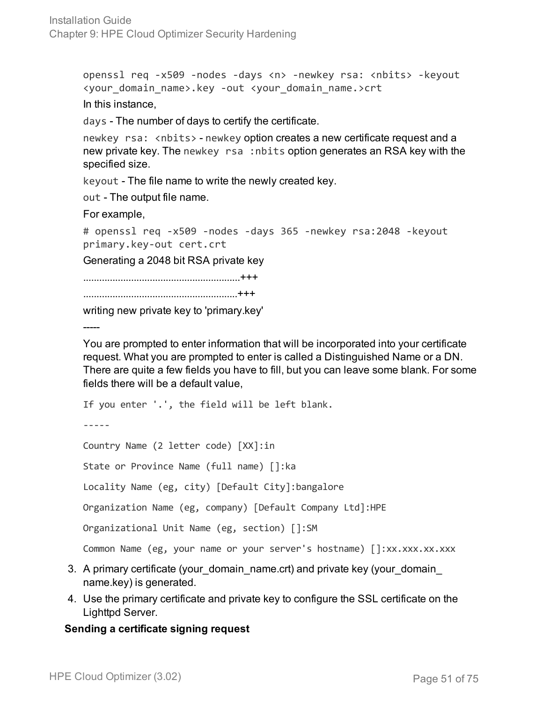openssl req -x509 -nodes -days <n> -newkey rsa: <nbits> -keyout <your\_domain\_name>.key -out <your\_domain\_name.>crt In this instance,

days - The number of days to certify the certificate.

newkey rsa: <nbits> - newkey option creates a new certificate request and a new private key. The newkey rsa :nbits option generates an RSA key with the specified size.

keyout - The file name to write the newly created key.

out - The output file name.

For example,

```
# openssl req -x509 -nodes -days 365 -newkey rsa:2048 -keyout
primary.key-out cert.crt
```
Generating a 2048 bit RSA private key

...........................................................+++

..........................................................+++

writing new private key to 'primary.key'

-----

You are prompted to enter information that will be incorporated into your certificate request. What you are prompted to enter is called a Distinguished Name or a DN. There are quite a few fields you have to fill, but you can leave some blank. For some fields there will be a default value,

If you enter '.', the field will be left blank.

-----

Country Name (2 letter code) [XX]:in

State or Province Name (full name) []:ka

Locality Name (eg, city) [Default City]:bangalore

Organization Name (eg, company) [Default Company Ltd]:HPE

Organizational Unit Name (eg, section) []:SM

Common Name (eg, your name or your server's hostname) []:xx.xxx.xx.xxx

- 3. A primary certificate (your domain name.crt) and private key (your domain name.key) is generated.
- 4. Use the primary certificate and private key to configure the SSL certificate on the Lighttpd Server.

#### **Sending a certificate signing request**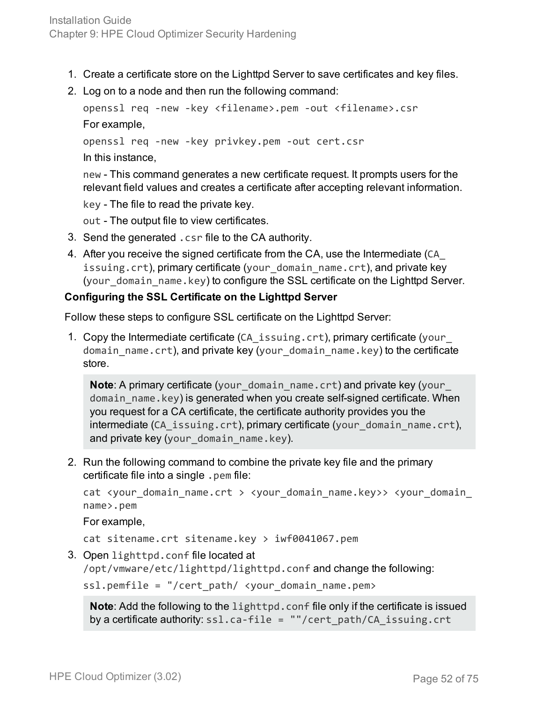- 1. Create a certificate store on the Lighttpd Server to save certificates and key files.
- 2. Log on to a node and then run the following command:

```
openssl req -new -key <filename>.pem -out <filename>.csr
For example,
openssl req -new -key privkey.pem -out cert.csr
```
In this instance,

new - This command generates a new certificate request. It prompts users for the relevant field values and creates a certificate after accepting relevant information.

key - The file to read the private key.

out - The output file to view certificates.

- 3. Send the generated .csr file to the CA authority.
- 4. After you receive the signed certificate from the CA, use the Intermediate (CA\_ issuing.crt), primary certificate (your\_domain\_name.crt), and private key (your\_domain\_name.key) to configure the SSL certificate on the Lighttpd Server.

#### **Configuring the SSL Certificate on the Lighttpd Server**

Follow these steps to configure SSL certificate on the Lighttpd Server:

1. Copy the Intermediate certificate (CA\_issuing.crt), primary certificate (your\_ domain\_name.crt), and private key (your\_domain\_name.key) to the certificate store.

**Note:** A primary certificate (your domain name.crt) and private key (your domain name.key) is generated when you create self-signed certificate. When you request for a CA certificate, the certificate authority provides you the intermediate (CA\_issuing.crt), primary certificate (your\_domain\_name.crt), and private key (your\_domain\_name.key).

2. Run the following command to combine the private key file and the primary certificate file into a single .pem file:

cat <your\_domain\_name.crt > <your\_domain\_name.key>> <your\_domain\_ name>.pem

For example,

cat sitename.crt sitename.key > iwf0041067.pem

3. Open lighttpd.conf file located at

/opt/vmware/etc/lighttpd/lighttpd.conf and change the following:

 $ssl.pemfile = "/cert path/$  <your domain name.pem>

**Note**: Add the following to the lighttpd.conf file only if the certificate is issued by a certificate authority: ssl.ca-file = ""/cert\_path/CA\_issuing.crt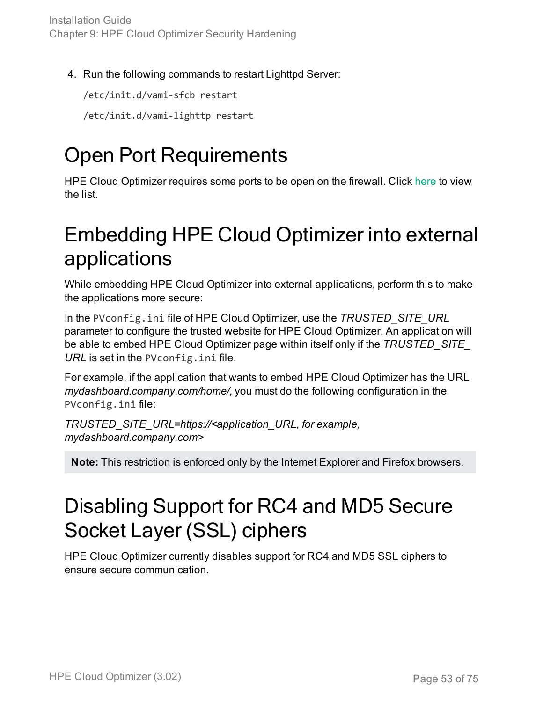4. Run the following commands to restart Lighttpd Server:

/etc/init.d/vami-sfcb restart

/etc/init.d/vami-lighttp restart

## Open Port Requirements

HPE Cloud Optimizer requires some ports to be open on the firewall. Click [here](#page-10-0) to view the list.

### Embedding HPE Cloud Optimizer into external applications

While embedding HPE Cloud Optimizer into external applications, perform this to make the applications more secure:

In the PVconfig.ini file of HPE Cloud Optimizer, use the *TRUSTED\_SITE\_URL* parameter to configure the trusted website for HPE Cloud Optimizer. An application will be able to embed HPE Cloud Optimizer page within itself only if the *TRUSTED\_SITE\_ URL* is set in the PVconfig.ini file.

For example, if the application that wants to embed HPE Cloud Optimizer has the URL *mydashboard.company.com/home/*, you must do the following configuration in the PVconfig.ini file:

*TRUSTED\_SITE\_URL=https://<application\_URL, for example, mydashboard.company.com>*

**Note:** This restriction is enforced only by the Internet Explorer and Firefox browsers.

## Disabling Support for RC4 and MD5 Secure Socket Layer (SSL) ciphers

HPE Cloud Optimizer currently disables support for RC4 and MD5 SSL ciphers to ensure secure communication.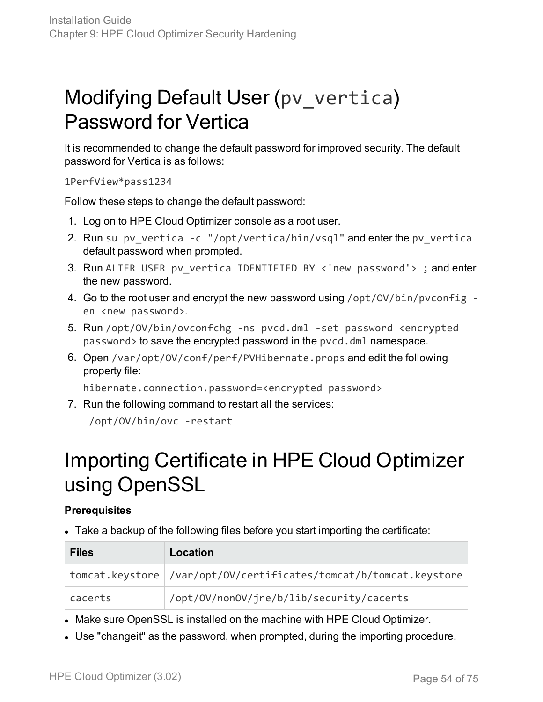## Modifying Default User (pv\_vertica) Password for Vertica

It is recommended to change the default password for improved security. The default password for Vertica is as follows:

1PerfView\*pass1234

Follow these steps to change the default password:

- 1. Log on to HPE Cloud Optimizer console as a root user.
- 2. Run su pv\_vertica -c "/opt/vertica/bin/vsql" and enter the pv\_vertica default password when prompted.
- 3. Run ALTER USER pv\_vertica IDENTIFIED BY <'new password'> ; and enter the new password.
- 4. Go to the root user and encrypt the new password using /opt/0V/bin/pvconfig en <new password>.
- 5. Run /opt/OV/bin/ovconfchg -ns pvcd.dml -set password <encrypted password> to save the encrypted password in the pvcd.dml namespace.
- 6. Open /var/opt/OV/conf/perf/PVHibernate.props and edit the following property file:

hibernate.connection.password=<encrypted password>

7. Run the following command to restart all the services:

/opt/OV/bin/ovc -restart

### Importing Certificate in HPE Cloud Optimizer using OpenSSL

#### **Prerequisites**

• Take a backup of the following files before you start importing the certificate:

| <b>Files</b> | Location                                                           |
|--------------|--------------------------------------------------------------------|
|              | tomcat.keystore //var/opt/OV/certificates/tomcat/b/tomcat.keystore |
| cacerts      | /opt/0V/non0V/jre/b/lib/security/cacerts                           |

- Make sure OpenSSL is installed on the machine with HPE Cloud Optimizer.
- Use "changeit" as the password, when prompted, during the importing procedure.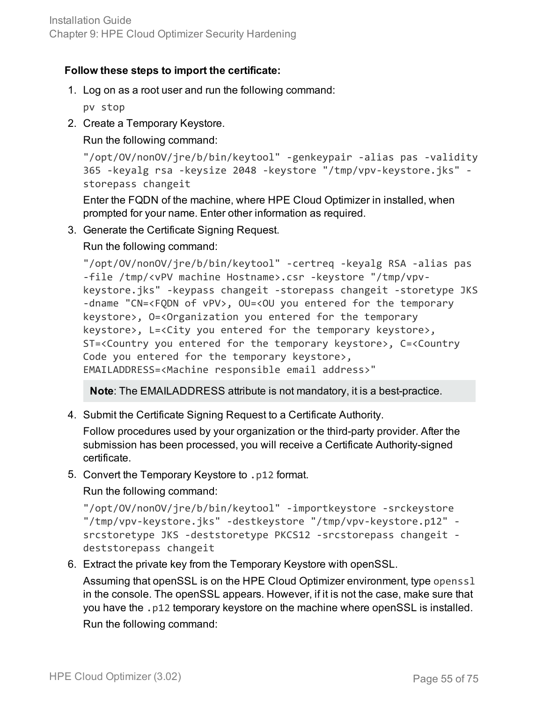#### **Follow these steps to import the certificate:**

1. Log on as a root user and run the following command:

pv stop

2. Create a Temporary Keystore.

Run the following command:

```
"/opt/OV/nonOV/jre/b/bin/keytool" -genkeypair -alias pas -validity
365 -keyalg rsa -keysize 2048 -keystore "/tmp/vpv-keystore.jks" -
storepass changeit
```
Enter the FQDN of the machine, where HPE Cloud Optimizer in installed, when prompted for your name. Enter other information as required.

3. Generate the Certificate Signing Request.

Run the following command:

```
"/opt/OV/nonOV/jre/b/bin/keytool" -certreq -keyalg RSA -alias pas
-file /tmp/<vPV machine Hostname>.csr -keystore "/tmp/vpv-
keystore.jks" -keypass changeit -storepass changeit -storetype JKS
-dname "CN=<FQDN of vPV>, OU=<OU you entered for the temporary
keystore>, O=<Organization you entered for the temporary
keystore>, L=<City you entered for the temporary keystore>,
ST=<Country you entered for the temporary keystore>, C=<Country
Code you entered for the temporary keystore>,
EMAILADDRESS=<Machine responsible email address>"
```
**Note**: The EMAILADDRESS attribute is not mandatory, it is a best-practice.

4. Submit the Certificate Signing Request to a Certificate Authority.

Follow procedures used by your organization or the third-party provider. After the submission has been processed, you will receive a Certificate Authority-signed certificate.

5. Convert the Temporary Keystore to .p12 format.

Run the following command:

```
"/opt/OV/nonOV/jre/b/bin/keytool" -importkeystore -srckeystore
"/tmp/vpv-keystore.jks" -destkeystore "/tmp/vpv-keystore.p12" -
srcstoretype JKS -deststoretype PKCS12 -srcstorepass changeit -
deststorepass changeit
```
6. Extract the private key from the Temporary Keystore with openSSL.

Assuming that openSSL is on the HPE Cloud Optimizer environment, type openssl in the console. The openSSL appears. However, if it is not the case, make sure that you have the .p12 temporary keystore on the machine where openSSL is installed. Run the following command: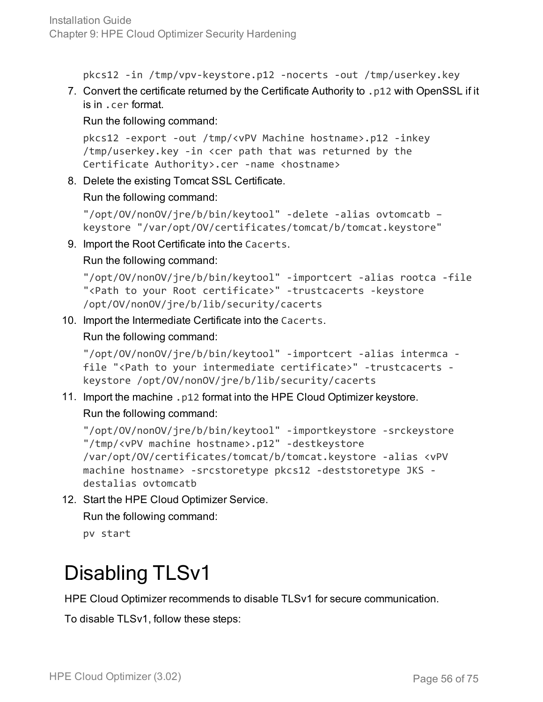pkcs12 -in /tmp/vpv-keystore.p12 -nocerts -out /tmp/userkey.key

7. Convert the certificate returned by the Certificate Authority to .p12 with OpenSSL if it is in .cer format.

Run the following command:

```
pkcs12 -export -out /tmp/<vPV Machine hostname>.p12 -inkey
/tmp/userkey.key -in <cer path that was returned by the
Certificate Authority>.cer -name <hostname>
```
8. Delete the existing Tomcat SSL Certificate.

Run the following command:

```
"/opt/OV/nonOV/jre/b/bin/keytool" -delete -alias ovtomcatb –
keystore "/var/opt/OV/certificates/tomcat/b/tomcat.keystore"
```
9. Import the Root Certificate into the Cacerts.

Run the following command:

```
"/opt/OV/nonOV/jre/b/bin/keytool" -importcert -alias rootca -file
"<Path to your Root certificate>" -trustcacerts -keystore
/opt/OV/nonOV/jre/b/lib/security/cacerts
```
10. Import the Intermediate Certificate into the Cacerts.

Run the following command:

"/opt/OV/nonOV/jre/b/bin/keytool" -importcert -alias intermca file "<Path to your intermediate certificate>" -trustcacerts keystore /opt/OV/nonOV/jre/b/lib/security/cacerts

11. Import the machine .p12 format into the HPE Cloud Optimizer keystore. Run the following command:

```
"/opt/OV/nonOV/jre/b/bin/keytool" -importkeystore -srckeystore
"/tmp/<vPV machine hostname>.p12" -destkeystore
/var/opt/OV/certificates/tomcat/b/tomcat.keystore -alias <vPV
machine hostname> -srcstoretype pkcs12 -deststoretype JKS -
destalias ovtomcatb
```
12. Start the HPE Cloud Optimizer Service.

Run the following command:

pv start

## Disabling TLSv1

HPE Cloud Optimizer recommends to disable TLSv1 for secure communication.

To disable TLSv1, follow these steps: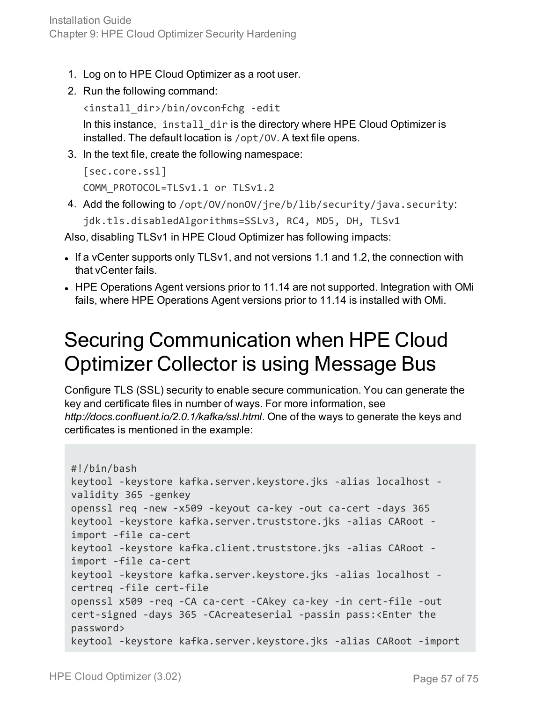- 1. Log on to HPE Cloud Optimizer as a root user.
- 2. Run the following command:

```
<install_dir>/bin/ovconfchg -edit
```
In this instance, install\_dir is the directory where HPE Cloud Optimizer is installed. The default location is /opt/OV. A text file opens.

3. In the text file, create the following namespace:

```
[sec.core.ssl]
COMM_PROTOCOL=TLSv1.1 or TLSv1.2
```
4. Add the following to /opt/OV/nonOV/jre/b/lib/security/java.security:

```
jdk.tls.disabledAlgorithms=SSLv3, RC4, MD5, DH, TLSv1
```
Also, disabling TLSv1 in HPE Cloud Optimizer has following impacts:

- If a vCenter supports only TLSv1, and not versions 1.1 and 1.2, the connection with that vCenter fails.
- HPE Operations Agent versions prior to 11.14 are not supported. Integration with OMi fails, where HPE Operations Agent versions prior to 11.14 is installed with OMi.

## Securing Communication when HPE Cloud Optimizer Collector is using Message Bus

Configure TLS (SSL) security to enable secure communication. You can generate the key and certificate files in number of ways. For more information, see *http://docs.confluent.io/2.0.1/kafka/ssl.html*. One of the ways to generate the keys and certificates is mentioned in the example:

```
#!/bin/bash
keytool -keystore kafka.server.keystore.jks -alias localhost -
validity 365 -genkey
openssl req -new -x509 -keyout ca-key -out ca-cert -days 365
keytool -keystore kafka.server.truststore.jks -alias CARoot -
import -file ca-cert
keytool -keystore kafka.client.truststore.jks -alias CARoot -
import -file ca-cert
keytool -keystore kafka.server.keystore.jks -alias localhost -
certreq -file cert-file
openssl x509 -req -CA ca-cert -CAkey ca-key -in cert-file -out
cert-signed -days 365 -CAcreateserial -passin pass:<Enter the
password>
keytool -keystore kafka.server.keystore.jks -alias CARoot -import
```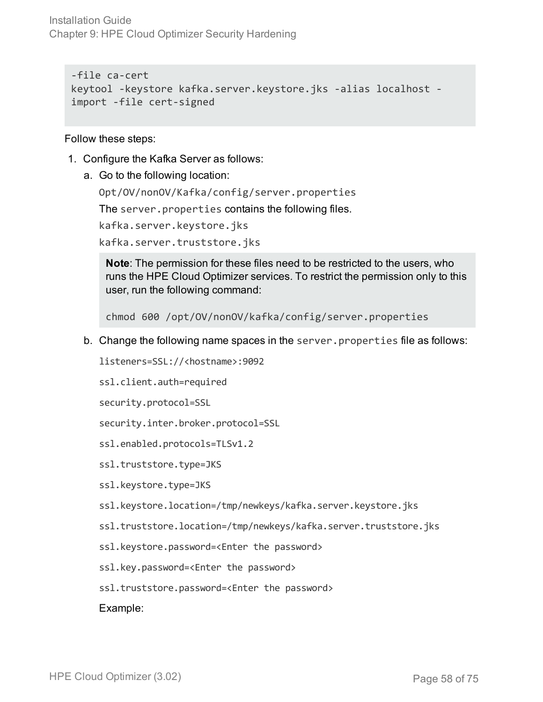Installation Guide Chapter 9: HPE Cloud Optimizer Security Hardening

-file ca-cert keytool -keystore kafka.server.keystore.jks -alias localhost import -file cert-signed

Follow these steps:

- 1. Configure the Kafka Server as follows:
	- a. Go to the following location:

Opt/OV/nonOV/Kafka/config/server.properties

The server.properties contains the following files.

kafka.server.keystore.jks

kafka.server.truststore.jks

**Note**: The permission for these files need to be restricted to the users, who runs the HPE Cloud Optimizer services. To restrict the permission only to this user, run the following command:

chmod 600 /opt/OV/nonOV/kafka/config/server.properties

b. Change the following name spaces in the server.properties file as follows:

listeners=SSL://<hostname>:9092

ssl.client.auth=required

security.protocol=SSL

security.inter.broker.protocol=SSL

ssl.enabled.protocols=TLSv1.2

ssl.truststore.type=JKS

ssl.keystore.type=JKS

- ssl.keystore.location=/tmp/newkeys/kafka.server.keystore.jks
- ssl.truststore.location=/tmp/newkeys/kafka.server.truststore.jks
- ssl.keystore.password=<Enter the password>

ssl.key.password=<Enter the password>

ssl.truststore.password=<Enter the password>

Example: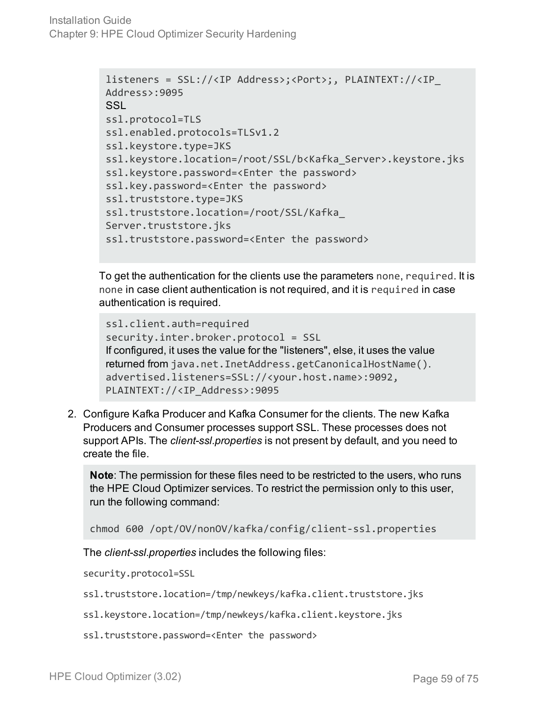```
listeners = SSL://<IP Address>;<Port>;, PLAINTEXT://<IP_
Address>:9095
SSL
ssl.protocol=TLS
ssl.enabled.protocols=TLSv1.2
ssl.keystore.type=JKS
ssl.keystore.location=/root/SSL/b<Kafka_Server>.keystore.jks
ssl.keystore.password=<Enter the password>
ssl.key.password=<Enter the password>
ssl.truststore.type=JKS
ssl.truststore.location=/root/SSL/Kafka_
Server.truststore.jks
ssl.truststore.password=<Enter the password>
```
To get the authentication for the clients use the parameters none, required. It is none in case client authentication is not required, and it is required in case authentication is required.

```
ssl.client.auth=required
security.inter.broker.protocol = SSL
If configured, it uses the value for the "listeners", else, it uses the value
returned from java.net.InetAddress.getCanonicalHostName().
advertised.listeners=SSL://<your.host.name>:9092,
PLAINTEXT://<IP_Address>:9095
```
2. Configure Kafka Producer and Kafka Consumer for the clients. The new Kafka Producers and Consumer processes support SSL. These processes does not support APIs. The *client-ssl.properties* is not present by default, and you need to create the file.

**Note**: The permission for these files need to be restricted to the users, who runs the HPE Cloud Optimizer services. To restrict the permission only to this user, run the following command:

```
chmod 600 /opt/OV/nonOV/kafka/config/client-ssl.properties
```
The *client-ssl.properties* includes the following files:

security.protocol=SSL

- ssl.truststore.location=/tmp/newkeys/kafka.client.truststore.jks
- ssl.keystore.location=/tmp/newkeys/kafka.client.keystore.jks
- ssl.truststore.password=<Enter the password>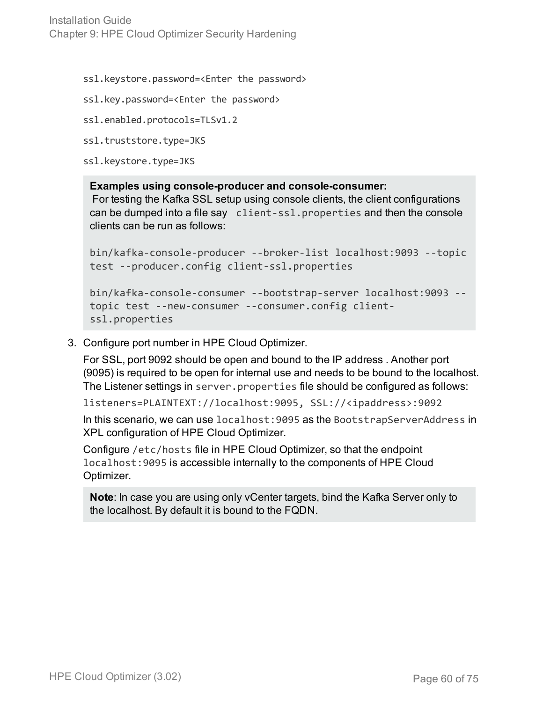Installation Guide Chapter 9: HPE Cloud Optimizer Security Hardening

ssl.keystore.password=<Enter the password>

ssl.key.password=<Enter the password>

```
ssl.enabled.protocols=TLSv1.2
```

```
ssl.truststore.type=JKS
```
ssl.keystore.type=JKS

#### **Examples using console-producer and console-consumer:**

For testing the Kafka SSL setup using console clients, the client configurations can be dumped into a file say client-ssl.properties and then the console clients can be run as follows:

```
bin/kafka-console-producer --broker-list localhost:9093 --topic
test --producer.config client-ssl.properties
```

```
bin/kafka-console-consumer --bootstrap-server localhost:9093 --
topic test --new-consumer --consumer.config client-
ssl.properties
```
3. Configure port number in HPE Cloud Optimizer.

For SSL, port 9092 should be open and bound to the IP address . Another port (9095) is required to be open for internal use and needs to be bound to the localhost. The Listener settings in server.properties file should be configured as follows:

listeners=PLAINTEXT://localhost:9095, SSL://<ipaddress>:9092

In this scenario, we can use localhost:9095 as the BootstrapServerAddress in XPL configuration of HPE Cloud Optimizer.

Configure /etc/hosts file in HPE Cloud Optimizer, so that the endpoint localhost:9095 is accessible internally to the components of HPE Cloud Optimizer.

```
Note: In case you are using only vCenter targets, bind the Kafka Server only to
the localhost. By default it is bound to the FQDN.
```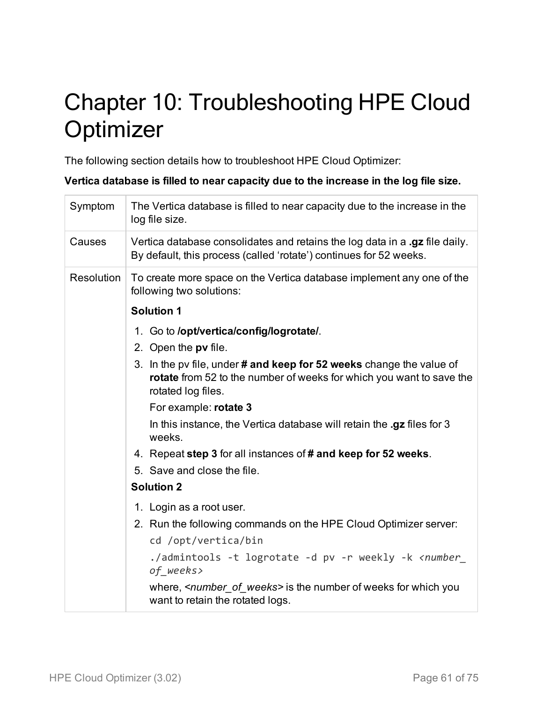# Chapter 10: Troubleshooting HPE Cloud **Optimizer**

The following section details how to troubleshoot HPE Cloud Optimizer:

**Vertica database is filled to near capacity due to the increase in the log file size.**

| Symptom    | The Vertica database is filled to near capacity due to the increase in the<br>log file size.                                                                       |
|------------|--------------------------------------------------------------------------------------------------------------------------------------------------------------------|
| Causes     | Vertica database consolidates and retains the log data in a .gz file daily.<br>By default, this process (called 'rotate') continues for 52 weeks.                  |
| Resolution | To create more space on the Vertica database implement any one of the<br>following two solutions:                                                                  |
|            | <b>Solution 1</b>                                                                                                                                                  |
|            | 1. Go to /opt/vertica/config/logrotate/.                                                                                                                           |
|            | 2. Open the pv file.                                                                                                                                               |
|            | 3. In the pv file, under # and keep for 52 weeks change the value of<br>rotate from 52 to the number of weeks for which you want to save the<br>rotated log files. |
|            | For example: rotate 3                                                                                                                                              |
|            | In this instance, the Vertica database will retain the .gz files for 3<br>weeks.                                                                                   |
|            | 4. Repeat step 3 for all instances of # and keep for 52 weeks.                                                                                                     |
|            | 5. Save and close the file.                                                                                                                                        |
|            | <b>Solution 2</b>                                                                                                                                                  |
|            | 1. Login as a root user.                                                                                                                                           |
|            | 2. Run the following commands on the HPE Cloud Optimizer server:                                                                                                   |
|            | cd /opt/vertica/bin                                                                                                                                                |
|            | ./admintools -t logrotate -d pv -r weekly -k <number_<br>of_weeks&gt;</number_<br>                                                                                 |
|            | where, < <i>number_of_weeks</i> > is the number of weeks for which you<br>want to retain the rotated logs.                                                         |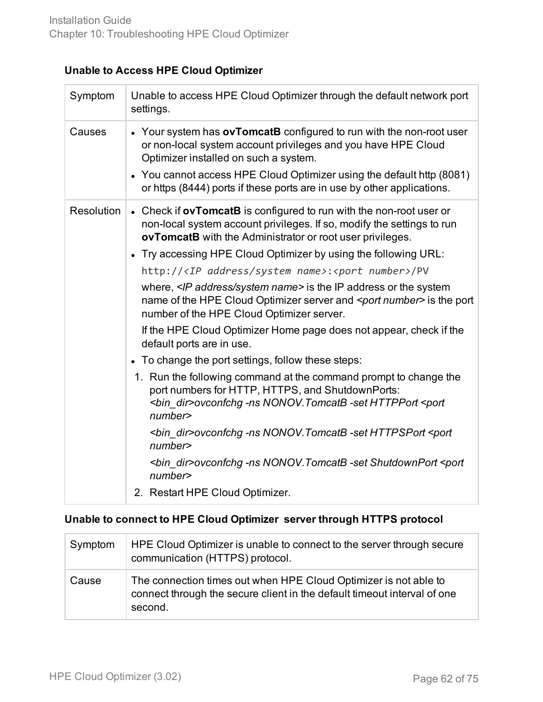#### **Unable to Access HPE Cloud Optimizer**

| Symptom           | Unable to access HPE Cloud Optimizer through the default network port<br>settings.                                                                                                                                                                                                                                                                                                                                                                                                                                                                                                                                                                                                                                                                                                                                                                                                                                                                                                                                                                                                                                                                                                            |
|-------------------|-----------------------------------------------------------------------------------------------------------------------------------------------------------------------------------------------------------------------------------------------------------------------------------------------------------------------------------------------------------------------------------------------------------------------------------------------------------------------------------------------------------------------------------------------------------------------------------------------------------------------------------------------------------------------------------------------------------------------------------------------------------------------------------------------------------------------------------------------------------------------------------------------------------------------------------------------------------------------------------------------------------------------------------------------------------------------------------------------------------------------------------------------------------------------------------------------|
| Causes            | • Your system has ovTomcatB configured to run with the non-root user<br>or non-local system account privileges and you have HPE Cloud<br>Optimizer installed on such a system.<br>• You cannot access HPE Cloud Optimizer using the default http (8081)<br>or https (8444) ports if these ports are in use by other applications.                                                                                                                                                                                                                                                                                                                                                                                                                                                                                                                                                                                                                                                                                                                                                                                                                                                             |
| <b>Resolution</b> | • Check if ovTomcatB is configured to run with the non-root user or<br>non-local system account privileges. If so, modify the settings to run<br>ovTomcatB with the Administrator or root user privileges.<br>• Try accessing HPE Cloud Optimizer by using the following URL:<br>http:// <ip address="" name="" system="">:<port number="">/PV<br/>where, <ip address="" name="" system=""> is the IP address or the system<br/>name of the HPE Cloud Optimizer server and <port number=""> is the port<br/>number of the HPE Cloud Optimizer server.<br/>If the HPE Cloud Optimizer Home page does not appear, check if the<br/>default ports are in use.<br/>• To change the port settings, follow these steps:<br/>1. Run the following command at the command prompt to change the<br/>port numbers for HTTP, HTTPS, and ShutdownPorts:<br/><bin_dir>ovconfchg -ns NONOV.TomcatB -set HTTPPort <port<br>number<br/><bin dir="">ovconfchg -ns NONOV. TomcatB -set HTTPSPort <port<br>number<br/><bin_dir>ovconfchg -ns NONOV.TomcatB -set ShutdownPort <port<br>number<br/>2. Restart HPE Cloud Optimizer.</port<br></bin_dir></port<br></bin></port<br></bin_dir></port></ip></port></ip> |

#### **Unable to connect to HPE Cloud Optimizer server through HTTPS protocol**

| Symptom | HPE Cloud Optimizer is unable to connect to the server through secure<br>communication (HTTPS) protocol.                                                |
|---------|---------------------------------------------------------------------------------------------------------------------------------------------------------|
| Cause   | The connection times out when HPE Cloud Optimizer is not able to<br>connect through the secure client in the default timeout interval of one<br>second. |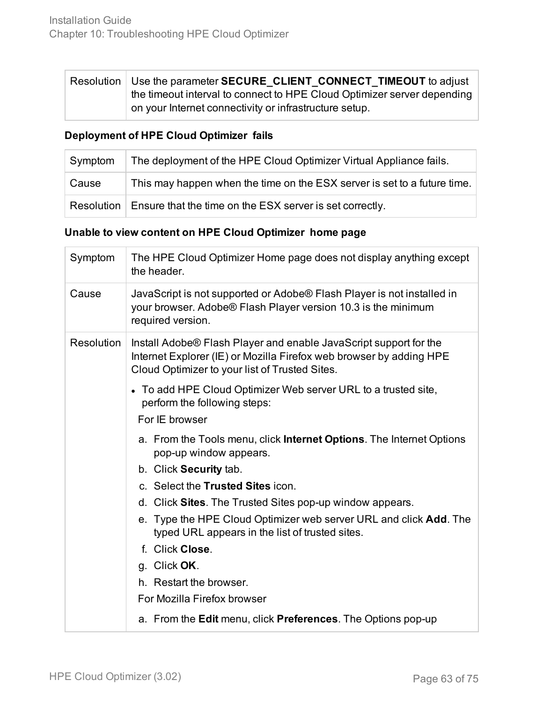| Resolution   Use the parameter SECURE CLIENT CONNECT TIMEOUT to adjust  |  |
|-------------------------------------------------------------------------|--|
| the timeout interval to connect to HPE Cloud Optimizer server depending |  |
| on your Internet connectivity or infrastructure setup.                  |  |

#### **Deployment of HPE Cloud Optimizer fails**

| Symptom | The deployment of the HPE Cloud Optimizer Virtual Appliance fails.       |  |
|---------|--------------------------------------------------------------------------|--|
| Cause   | This may happen when the time on the ESX server is set to a future time. |  |
|         | Resolution   Ensure that the time on the ESX server is set correctly.    |  |

#### **Unable to view content on HPE Cloud Optimizer home page**

| Symptom           | The HPE Cloud Optimizer Home page does not display anything except<br>the header.                                                                                                          |  |
|-------------------|--------------------------------------------------------------------------------------------------------------------------------------------------------------------------------------------|--|
| Cause             | JavaScript is not supported or Adobe® Flash Player is not installed in<br>your browser. Adobe® Flash Player version 10.3 is the minimum<br>required version.                               |  |
| <b>Resolution</b> | Install Adobe® Flash Player and enable JavaScript support for the<br>Internet Explorer (IE) or Mozilla Firefox web browser by adding HPE<br>Cloud Optimizer to your list of Trusted Sites. |  |
|                   | • To add HPE Cloud Optimizer Web server URL to a trusted site,<br>perform the following steps:                                                                                             |  |
| For IE browser    |                                                                                                                                                                                            |  |
|                   | a. From the Tools menu, click <b>Internet Options</b> . The Internet Options<br>pop-up window appears.                                                                                     |  |
|                   | b. Click Security tab.                                                                                                                                                                     |  |
|                   | c. Select the Trusted Sites icon.                                                                                                                                                          |  |
|                   | d. Click Sites. The Trusted Sites pop-up window appears.                                                                                                                                   |  |
|                   | e. Type the HPE Cloud Optimizer web server URL and click Add. The<br>typed URL appears in the list of trusted sites.                                                                       |  |
|                   | f. Click Close.                                                                                                                                                                            |  |
|                   | g. Click OK.                                                                                                                                                                               |  |
|                   | h. Restart the browser.                                                                                                                                                                    |  |
|                   | For Mozilla Firefox browser                                                                                                                                                                |  |
|                   | a. From the Edit menu, click Preferences. The Options pop-up                                                                                                                               |  |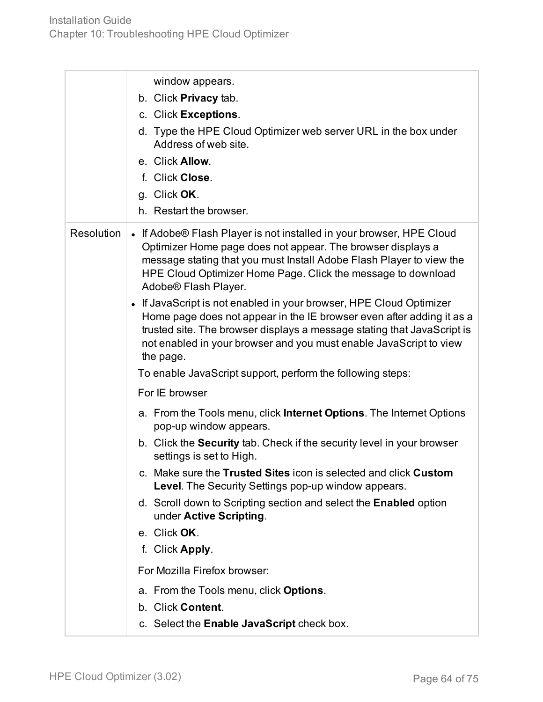|                   | window appears.<br>b. Click Privacy tab.<br>c. Click Exceptions.<br>d. Type the HPE Cloud Optimizer web server URL in the box under<br>Address of web site.<br>e. Click Allow.<br>f. Click Close.<br>g. Click OK.<br>h. Restart the browser.                                                                                                                                                                                                                                                                                                                                                                                                                                                                                                                                                                                                                                                                                                                                                                                                                                                                                                                                                                                                                                                                                        |
|-------------------|-------------------------------------------------------------------------------------------------------------------------------------------------------------------------------------------------------------------------------------------------------------------------------------------------------------------------------------------------------------------------------------------------------------------------------------------------------------------------------------------------------------------------------------------------------------------------------------------------------------------------------------------------------------------------------------------------------------------------------------------------------------------------------------------------------------------------------------------------------------------------------------------------------------------------------------------------------------------------------------------------------------------------------------------------------------------------------------------------------------------------------------------------------------------------------------------------------------------------------------------------------------------------------------------------------------------------------------|
| <b>Resolution</b> | • If Adobe® Flash Player is not installed in your browser, HPE Cloud<br>Optimizer Home page does not appear. The browser displays a<br>message stating that you must Install Adobe Flash Player to view the<br>HPE Cloud Optimizer Home Page. Click the message to download<br>Adobe® Flash Player.<br>• If JavaScript is not enabled in your browser, HPE Cloud Optimizer<br>Home page does not appear in the IE browser even after adding it as a<br>trusted site. The browser displays a message stating that JavaScript is<br>not enabled in your browser and you must enable JavaScript to view<br>the page.<br>To enable JavaScript support, perform the following steps:<br>For IE browser<br>a. From the Tools menu, click <b>Internet Options</b> . The Internet Options<br>pop-up window appears.<br>b. Click the Security tab. Check if the security level in your browser<br>settings is set to High.<br>c. Make sure the Trusted Sites icon is selected and click Custom<br><b>Level.</b> The Security Settings pop-up window appears.<br>d. Scroll down to Scripting section and select the Enabled option<br>under Active Scripting.<br>e. Click OK.<br>f. Click Apply.<br>For Mozilla Firefox browser:<br>a. From the Tools menu, click Options.<br>b. Click Content.<br>c. Select the Enable JavaScript check box. |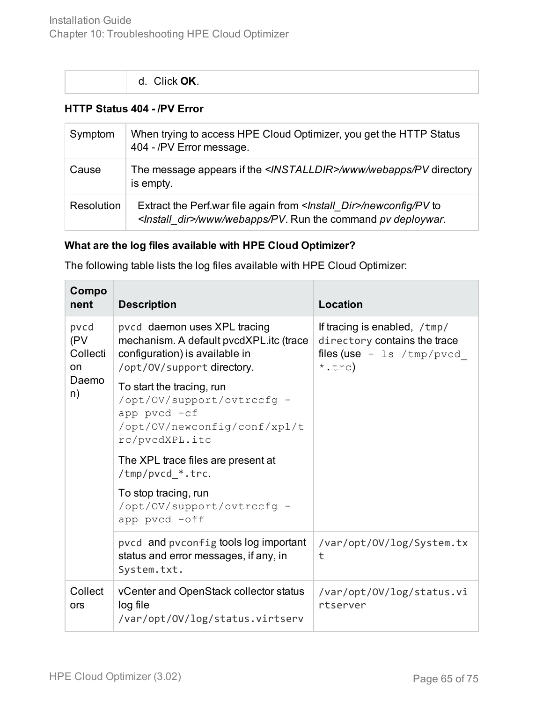#### **HTTP Status 404 - /PV Error**

| Symptom           | When trying to access HPE Cloud Optimizer, you get the HTTP Status<br>404 - /PV Error message.                                                 |  |
|-------------------|------------------------------------------------------------------------------------------------------------------------------------------------|--|
| Cause             | The message appears if the <installdir>/www/webapps/PV directory<br/>is empty.</installdir>                                                    |  |
| <b>Resolution</b> | Extract the Perf.war file again from   ktall_Dir>/newconfig/PV to<br><install_dir>/www/webapps/PV. Run the command pv deploywar.</install_dir> |  |

#### **What are the log files available with HPE Cloud Optimizer?**

The following table lists the log files available with HPE Cloud Optimizer:

| Compo<br>nent                 | <b>Description</b>                                                                                                                      | Location                                                                                                        |
|-------------------------------|-----------------------------------------------------------------------------------------------------------------------------------------|-----------------------------------------------------------------------------------------------------------------|
| pvcd<br>(PV<br>Collecti<br>on | pvcd daemon uses XPL tracing<br>mechanism. A default pvcdXPL.itc (trace<br>configuration) is available in<br>/opt/0V/support directory. | If tracing is enabled, /tmp/<br>directory contains the trace<br>files (use $-$ 1s /tmp/pvcd<br>$*, \text{trc})$ |
| Daemo<br>n)                   | To start the tracing, run<br>/opt/OV/support/ovtrccfg -<br>app pvcd -cf<br>/opt/OV/newconfig/conf/xpl/t<br>rc/pvcdXPL.itc               |                                                                                                                 |
|                               | The XPL trace files are present at<br>/tmp/pvcd_*.trc.                                                                                  |                                                                                                                 |
|                               | To stop tracing, run<br>/opt/OV/support/ovtrccfg -<br>app pvcd -off                                                                     |                                                                                                                 |
|                               | pvcd and pvconfig tools log important<br>status and error messages, if any, in<br>System.txt.                                           | /var/opt/0V/log/System.tx<br>t                                                                                  |
| Collect<br>ors                | vCenter and OpenStack collector status<br>log file<br>/var/opt/0V/log/status.virtserv                                                   | /var/opt/0V/log/status.vi<br>rtserver                                                                           |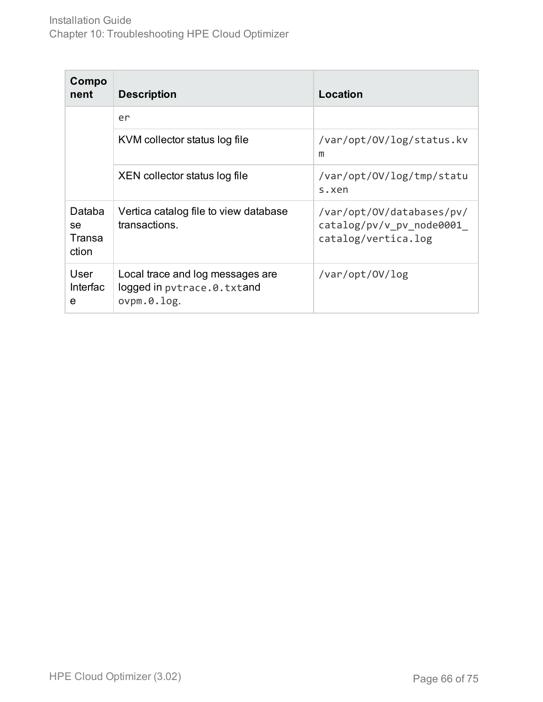| Compo<br>nent                   | <b>Description</b>                                                               | Location                                                                     |
|---------------------------------|----------------------------------------------------------------------------------|------------------------------------------------------------------------------|
|                                 | er                                                                               |                                                                              |
|                                 | KVM collector status log file                                                    | /var/opt/OV/log/status.kv<br>m                                               |
|                                 | XEN collector status log file                                                    | /var/opt/OV/log/tmp/statu<br>s.xen                                           |
| Databa<br>se<br>Transa<br>ction | Vertica catalog file to view database<br>transactions.                           | /var/opt/OV/databases/pv/<br>catalog/pv/v pv node0001<br>catalog/vertica.log |
| User<br><b>Interfac</b><br>е    | Local trace and log messages are<br>logged in pvtrace.0.txtand<br>$ovpm.0.$ log. | /var/opt/0V/log                                                              |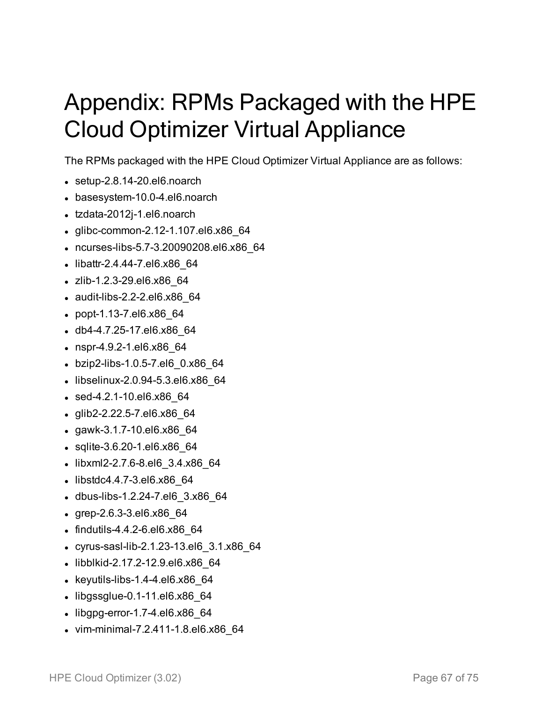# Appendix: RPMs Packaged with the HPE Cloud Optimizer Virtual Appliance

The RPMs packaged with the HPE Cloud Optimizer Virtual Appliance are as follows:

- $\bullet$  setup-2.8.14-20.el6.noarch
- basesystem-10.0-4.el6.noarch
- tzdata-2012j-1.el6.noarch
- glibc-common-2.12-1.107.el6.x86 64
- ncurses-libs-5.7-3.20090208.el6.x86 64
- libattr-2.4.44-7.el6.x86 64
- zlib-1.2.3-29.el6.x86 64
- $\bullet$  audit-libs-2.2-2.el6.x86 64
- popt-1.13-7.el6.x86 64
- db4-4.7.25-17.el6.x86 64
- nspr-4.9.2-1.el6.x86 64
- bzip2-libs-1.0.5-7.el6 0.x86 64
- $\bullet$  libselinux-2.0.94-5.3.el6.x86 64
- $\bullet$  sed-4.2.1-10.el6.x86 64
- glib2-2.22.5-7.el6.x86\_64
- $\cdot$  gawk-3.1.7-10.el6.x86 64
- $\bullet$  sqlite-3.6.20-1.el6.x86 64
- libxml2-2.7.6-8.el6 3.4.x86 64
- libstdc4.4.7-3.el6.x86 64
- dbus-libs-1.2.24-7.el6 3.x86 64
- $\cdot$  grep-2.6.3-3.el6.x86 $64$
- $\bullet$  findutils-4.4.2-6.el6.x86 $64$
- cyrus-sasl-lib-2.1.23-13.el6 3.1.x86 64
- libblkid-2.17.2-12.9.el6.x86 64
- $\bullet$  keyutils-libs-1.4-4.el6.x86 64
- $\bullet$  libgssglue-0.1-11.el6.x86 $64$
- $\bullet$  libgpg-error-1.7-4.el6.x86 $64$
- vim-minimal-7.2.411-1.8.el6.x86 64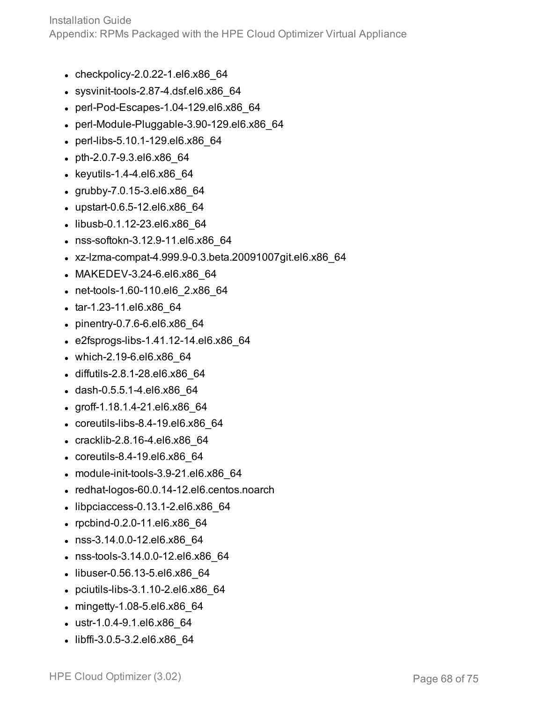Installation Guide

Appendix: RPMs Packaged with the HPE Cloud Optimizer Virtual Appliance

- $\bullet$  checkpolicy-2.0.22-1.el6.x86 64
- $\bullet$  sysvinit-tools-2.87-4.dsf.el6.x86 64
- perl-Pod-Escapes-1.04-129.el6.x86 64
- $\bullet$  perl-Module-Pluggable-3.90-129.el6.x86 64
- perl-libs-5.10.1-129.el6.x86 64
- $\bullet$  pth-2.0.7-9.3.el6.x86 64
- $\bullet$  keyutils-1.4-4.el6.x86 64
- $\cdot$  grubby-7.0.15-3.el6.x86 64
- upstart-0.6.5-12.el6.x86\_64
- libusb-0.1.12-23.el6.x86 64
- nss-softokn-3.12.9-11.el6.x86 64
- <sup>l</sup> xz-lzma-compat-4.999.9-0.3.beta.20091007git.el6.x86\_64
- MAKEDEV-3.24-6.el6.x86 64
- net-tools-1.60-110.el6 2.x86 64
- tar-1.23-11.el6.x86 64
- $\bullet$  pinentry-0.7.6-6.el6.x86 64
- $\cdot$  e2fsprogs-libs-1.41.12-14.el6.x86 64
- $\bullet$  which-2.19-6.el6.x86 64
- diffutils-2.8.1-28.el6.x86 64
- dash-0.5.5.1-4.el6.x86 64
- $\cdot$  groff-1.18.1.4-21.el6.x86 64
- $\bullet$  coreutils-libs-8.4-19.el6.x86 64
- cracklib-2.8.16-4.el6.x86 64
- $\cdot$  coreutils-8.4-19.el6.x86\_64
- $\bullet$  module-init-tools-3.9-21.el6.x86 64
- $\bullet$  redhat-logos-60.0.14-12.el6.centos.noarch
- $\bullet$  libpciaccess-0.13.1-2.el6.x86\_64
- rpcbind-0.2.0-11.el6.x86 64
- nss-3.14.0.0-12.el6.x86 64
- nss-tools-3.14.0.0-12.el6.x86\_64
- libuser-0.56.13-5.el6.x86 64
- $\bullet$  pciutils-libs-3.1.10-2.el6.x86 64
- $\bullet$  mingetty-1.08-5.el6.x86 64
- ustr-1.0.4-9.1.el6.x86\_64
- libffi-3.0.5-3.2.el6.x86 64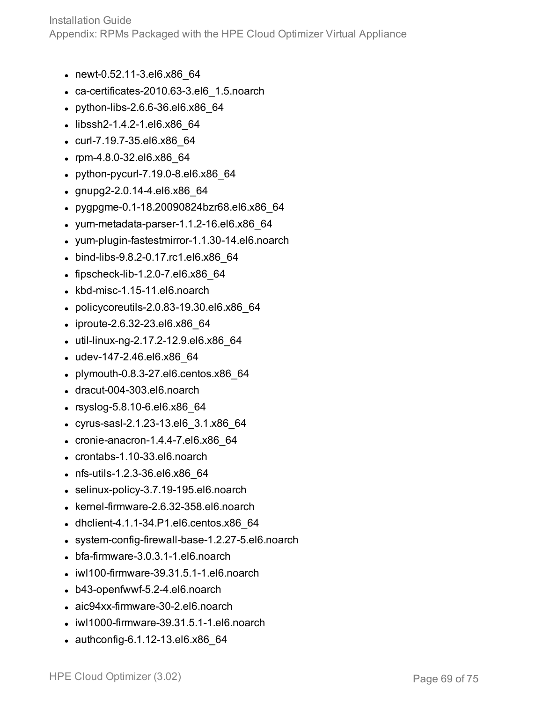Installation Guide Appendix: RPMs Packaged with the HPE Cloud Optimizer Virtual Appliance

- newt-0.52.11-3.el6.x86 64
- $\cdot$  ca-certificates-2010.63-3.el6 1.5.noarch
- $\bullet$  python-libs-2.6.6-36.el6.x86 64
- libssh2-1.4.2-1.el6.x86 64
- curl-7.19.7-35.el6.x86 64
- $\cdot$  rpm-4.8.0-32.el6.x86 64
- $\bullet$  python-pycurl-7.19.0-8.el6.x86 64
- $\cdot$  gnupg2-2.0.14-4.el6.x86 64
- pygpgme-0.1-18.20090824bzr68.el6.x86 64
- $\bullet$  yum-metadata-parser-1.1.2-16.el6.x86 $64$
- yum-plugin-fastestmirror-1.1.30-14.el6.noarch
- bind-libs-9.8.2-0.17.rc1.el6.x86 64
- $\bullet$  fipscheck-lib-1.2.0-7.el6.x86 64
- kbd-misc-1.15-11.el6.noarch
- $\bullet$  policycoreutils-2.0.83-19.30.el6.x86 64
- $\bullet$  iproute-2.6.32-23.el6.x86 64
- util-linux-ng-2.17.2-12.9.el6.x86 64
- $\bullet$  udev-147-2.46.el6.x86 64
- $\bullet$  plymouth-0.8.3-27.el6.centos.x86 64
- $\bullet$  dracut-004-303.el6.noarch
- rsyslog-5.8.10-6.el6.x86 64
- <sup>l</sup> cyrus-sasl-2.1.23-13.el6\_3.1.x86\_64
- $\cdot$  cronie-anacron-1.4.4-7.el6.x86 64
- $\bullet$  crontabs-1.10-33.el6.noarch
- nfs-utils-1.2.3-36.el6.x86 64
- selinux-policy-3.7.19-195.el6.noarch
- $\bullet$  kernel-firmware-2.6.32-358.el6.noarch
- $\bullet$  dhclient-4.1.1-34.P1.el6.centos.x86 64
- system-config-firewall-base-1.2.27-5.el6.noarch
- $\bullet$  bfa-firmware-3.0.3.1-1.el6.noarch
- $\bullet$  iwl100-firmware-39.31.5.1-1.el6.noarch
- $\bullet$  b43-openfwwf-5.2-4.el6.noarch
- aic94xx-firmware-30-2.el6.noarch
- $\bullet$  iwl1000-firmware-39.31.5.1-1.el6.noarch
- $\bullet$  authconfig-6.1.12-13.el6.x86 64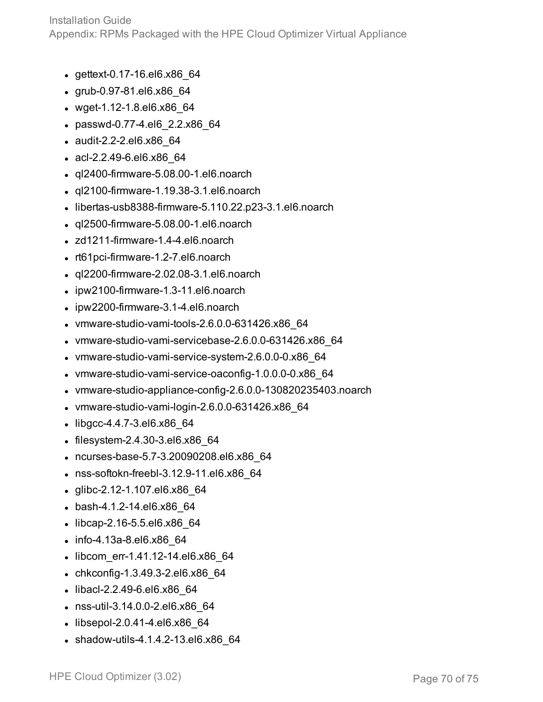- $\bullet$  gettext-0.17-16.el6.x86 64
- $\cdot$  grub-0.97-81.el6.x86 64
- $\bullet$  wget-1.12-1.8.el6.x86 64
- passwd-0.77-4.el6 2.2.x86 64
- audit-2.2-2.el6.x86 64
- $\bullet$  acl-2.2.49-6.el6.x86 64
- $\bullet$  ql2400-firmware-5.08.00-1.el6.noarch
- $\bullet$  ql2100-firmware-1.19.38-3.1.el6.noarch
- $\bullet$  libertas-usb8388-firmware-5.110.22.p23-3.1.el6.noarch
- $\cdot$  ql2500-firmware-5.08.00-1.el6.noarch
- $\bullet$  zd1211-firmware-1.4-4.el6.noarch
- rt61pci-firmware-1.2-7.el6.noarch
- $\bullet$  ql2200-firmware-2.02.08-3.1.el6.noarch
- $\bullet$  ipw2100-firmware-1.3-11.el6.noarch
- $\bullet$  ipw2200-firmware-3.1-4.el6.noarch
- $\bullet$  vmware-studio-vami-tools-2.6.0.0-631426.x86 64
- vmware-studio-vami-servicebase-2.6.0.0-631426.x86\_64
- vmware-studio-vami-service-system-2.6.0.0-0.x86 64
- vmware-studio-vami-service-oaconfig-1.0.0.0-0.x86 64
- $\bullet$  vmware-studio-appliance-config-2.6.0.0-130820235403.noarch
- $\bullet$  vmware-studio-vami-login-2.6.0.0-631426.x86 64
- $\bullet$  libgcc-4.4.7-3.el6.x86 64
- $\bullet$  filesystem-2.4.30-3.el6.x86 $64$
- ncurses-base-5.7-3.20090208.el6.x86 64
- $\bullet$  nss-softokn-freebl-3.12.9-11.el6.x86 64
- $\bullet$  glibc-2.12-1.107.el6.x86 64
- bash-4.1.2-14.el6.x86 64
- libcap-2.16-5.5.el6.x86 64
- $\cdot$  info-4.13a-8.el6.x86 64
- libcom err-1.41.12-14.el6.x86 64
- chkconfig-1.3.49.3-2.el6.x86 $64$
- libacl-2.2.49-6.el6.x86 64
- nss-util-3.14.0.0-2.el6.x86\_64
- $\bullet$  libsepol-2.0.41-4.el6.x86 64
- $\bullet$  shadow-utils-4.1.4.2-13.el6.x86 64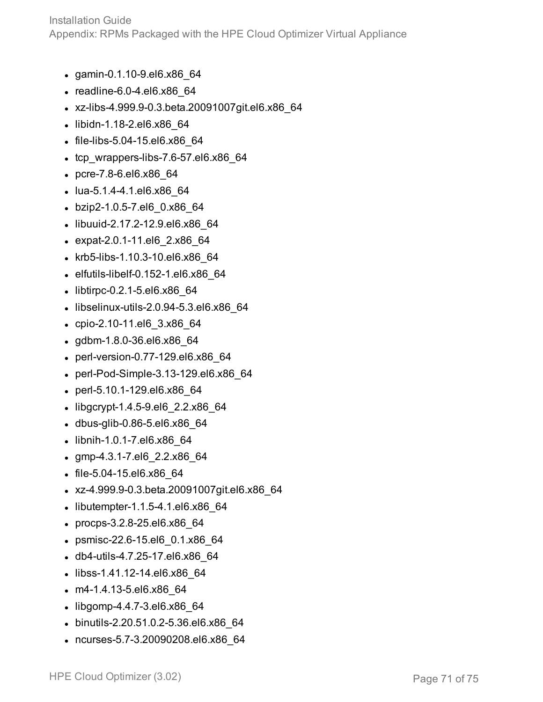- gamin-0.1.10-9.el6.x86 64
- $\bullet$  readline-6.0-4.el6.x86 64
- <sup>l</sup> xz-libs-4.999.9-0.3.beta.20091007git.el6.x86\_64
- libidn-1.18-2.el6.x86 64
- file-libs-5.04-15.el6.x86 64
- $\bullet$  tcp wrappers-libs-7.6-57.el6.x86 64
- pcre-7.8-6.el6.x86 64
- $\bullet$  lua-5.1.4-4.1.el6.x86 64
- bzip2-1.0.5-7.el6 0.x86 64
- libuuid-2.17.2-12.9.el6.x86 64
- expat-2.0.1-11.el6 2.x86 64
- krb5-libs-1.10.3-10.el6.x86\_64
- $\bullet$  elfutils-libelf-0.152-1.el6.x86 64
- $\bullet$  libtirpc-0.2.1-5.el6.x86 64
- $\bullet$  libselinux-utils-2.0.94-5.3.el6.x86 64
- cpio-2.10-11.el6 3.x86 64
- gdbm-1.8.0-36.el6.x86\_64
- perl-version-0.77-129.el6.x86 64
- perl-Pod-Simple-3.13-129.el6.x86 64
- perl-5.10.1-129.el6.x86 64
- $\bullet$  libgcrypt-1.4.5-9.el6 2.2.x86 64
- dbus-glib-0.86-5.el6.x86\_64
- libnih-1.0.1-7.el6.x86 64
- <sup>l</sup> gmp-4.3.1-7.el6\_2.2.x86\_64
- file-5.04-15.el6.x86 64
- <sup>l</sup> xz-4.999.9-0.3.beta.20091007git.el6.x86\_64
- $\bullet$  libutempter-1.1.5-4.1.el6.x86\_64
- procps-3.2.8-25.el6.x86 64
- psmisc-22.6-15.el6 0.1.x86 64
- db4-utils-4.7.25-17.el6.x86 64
- libss-1.41.12-14.el6.x86 64
- $\cdot$  m4-1.4.13-5.el6.x86 64
- $\bullet$  libgomp-4.4.7-3.el6.x86 64
- binutils-2.20.51.0.2-5.36.el6.x86\_64
- ncurses-5.7-3.20090208.el6.x86 64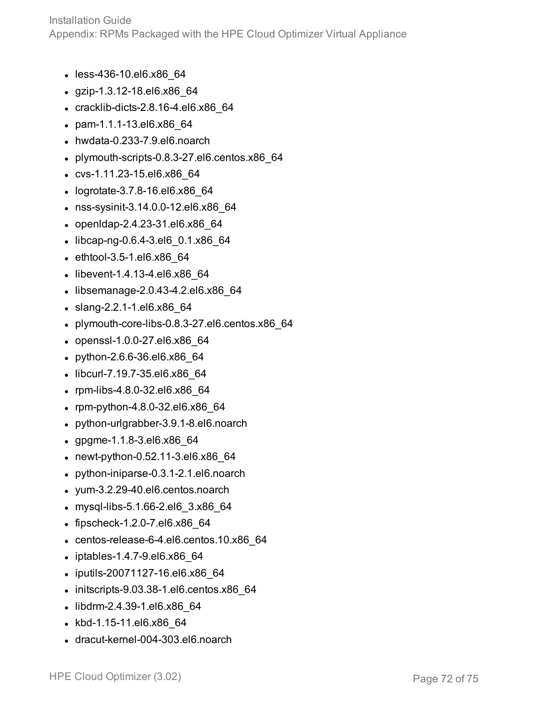- less-436-10.el6.x86 64
- $\cdot$  gzip-1.3.12-18.el6.x86 64
- $\cdot$  cracklib-dicts-2.8.16-4.el6.x86 64
- pam-1.1.1-13.el6.x86 64
- $\bullet$  hwdata-0.233-7.9.el6.noarch
- $\bullet$  plymouth-scripts-0.8.3-27.el6.centos.x86 64
- cvs-1.11.23-15.el6.x86 64
- logrotate-3.7.8-16.el6.x86 64
- nss-sysinit-3.14.0.0-12.el6.x86\_64
- openIdap-2.4.23-31.el6.x86 64
- $\bullet$  libcap-ng-0.6.4-3.el6 0.1.x86 64
- $\bullet$  ethtool-3.5-1.el6.x86 64
- libevent-1.4.13-4.el6.x86 64
- $\bullet$  libsemanage-2.0.43-4.2.el6.x86 64
- slang-2.2.1-1.el6.x86 64
- $\bullet$  plymouth-core-libs-0.8.3-27.el6.centos.x86 64
- $\bullet$  openssl-1.0.0-27.el6.x86\_64
- python-2.6.6-36.el6.x86 64
- libcurl-7.19.7-35.el6.x86\_64
- rpm-libs-4.8.0-32.el6.x86 64
- rpm-python-4.8.0-32.el6.x86 $64$
- python-urlgrabber-3.9.1-8.el6.noarch
- $\cdot$  gpgme-1.1.8-3.el6.x86 64
- newt-python-0.52.11-3.el6.x86 $64$
- python-iniparse-0.3.1-2.1.el6.noarch
- $\nu$  yum-3.2.29-40.el6.centos.noarch
- mysql-libs-5.1.66-2.el6 3.x86 64
- $\bullet$  fipscheck-1.2.0-7.el6.x86 $64$
- $\bullet$  centos-release-6-4.el6.centos.10.x86 64
- $\bullet$  iptables-1.4.7-9.el6.x86 64
- iputils-20071127-16.el6.x86 64
- $\bullet$  initscripts-9.03.38-1.el6.centos.x86 64
- libdrm-2.4.39-1.el6.x86 64
- kbd-1.15-11.el6.x86 64
- dracut-kernel-004-303.el6.noarch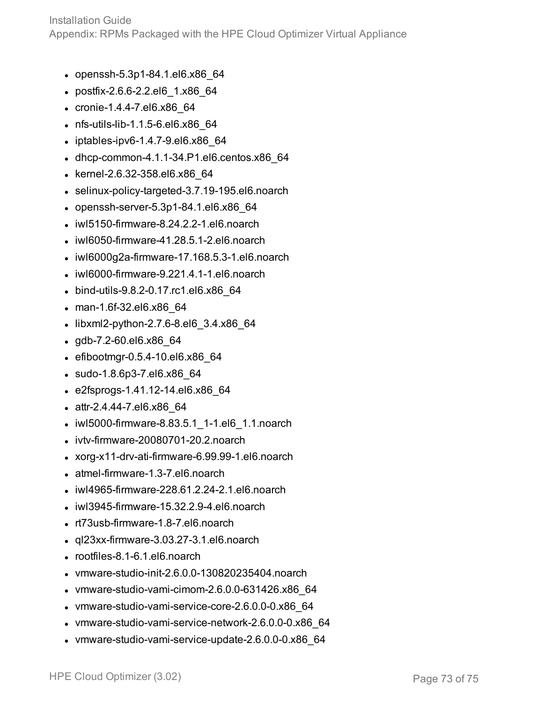Installation Guide Appendix: RPMs Packaged with the HPE Cloud Optimizer Virtual Appliance

- $\bullet$  openssh-5.3p1-84.1.el6.x86 64
- postfix-2.6.6-2.2.el6 1.x86 64
- $\cdot$  cronie-1.4.4-7.el6.x86 64
- nfs-utils-lib-1.1.5-6.el6.x86 64
- $\bullet$  iptables-ipv6-1.4.7-9.el6.x86 64
- $\bullet$  dhcp-common-4.1.1-34.P1.el6.centos.x86 $64$
- kernel-2.6.32-358.el6.x86 64
- $\bullet$  selinux-policy-targeted-3.7.19-195.el6.noarch
- $\bullet$  openssh-server-5.3p1-84.1.el6.x86 64
- $\bullet$  iwl5150-firmware-8.24.2.2-1.el6.noarch
- $\bullet$  iwl6050-firmware-41.28.5.1-2.el6.noarch
- $\bullet$  iwl6000g2a-firmware-17.168.5.3-1.el6.noarch
- $\bullet$  iwl6000-firmware-9.221.4.1-1.el6.noarch
- bind-utils-9.8.2-0.17.rc1.el6.x86\_64
- man-1.6f-32.el6.x86 64
- $\bullet$  libxml2-python-2.7.6-8.el6 3.4.x86 64
- $\cdot$  gdb-7.2-60.el6.x86 $64$
- $\bullet$  efibootmgr-0.5.4-10.el6.x86 64
- sudo-1.8.6p3-7.el6.x86 64
- $\cdot$  e2fsprogs-1.41.12-14.el6.x86 64
- attr-2.4.44-7.el6.x86 64
- iwl5000-firmware-8.83.5.1 1-1.el6 1.1.noarch
- $\bullet$  ivtv-firmware-20080701-20.2.noarch
- $\bullet$  xorg-x11-drv-ati-firmware-6.99.99-1.el6.noarch
- atmel-firmware-1.3-7.el6.noarch
- $\bullet$  iwl4965-firmware-228.61.2.24-2.1.el6.noarch
- $\bullet$  iwl3945-firmware-15.32.2.9-4.el6.noarch
- rt73usb-firmware-1.8-7.el6.noarch
- $\cdot$  ql23xx-firmware-3.03.27-3.1.el6.noarch
- rootfiles-8.1-6.1.el6.noarch
- $\bullet$  vmware-studio-init-2.6.0.0-130820235404.noarch
- $\bullet$  vmware-studio-vami-cimom-2.6.0.0-631426.x86 64
- $\bullet$  vmware-studio-vami-service-core-2.6.0.0-0.x86 64
- vmware-studio-vami-service-network-2.6.0.0-0.x86 64
- vmware-studio-vami-service-update-2.6.0.0-0.x86 64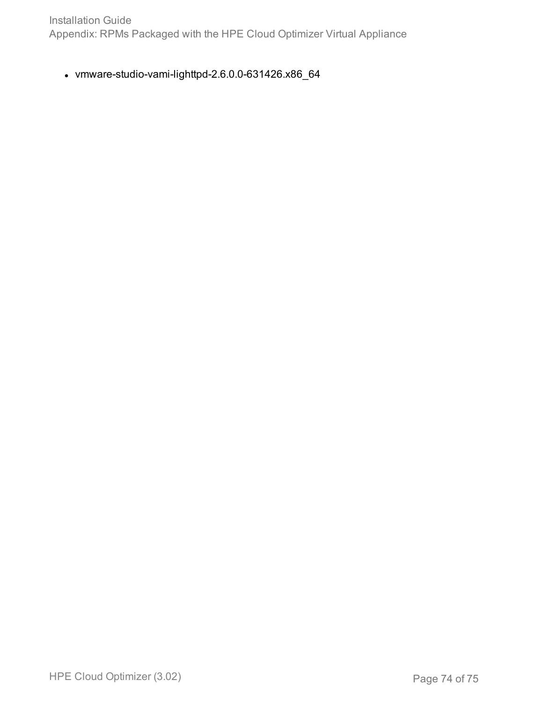Installation Guide Appendix: RPMs Packaged with the HPE Cloud Optimizer Virtual Appliance

 $\bullet$  vmware-studio-vami-lighttpd-2.6.0.0-631426.x86\_64